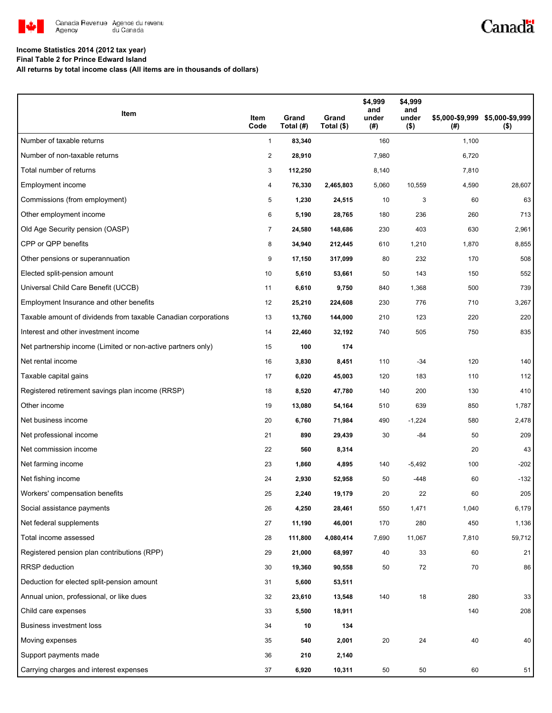

# Canadä

### **Income Statistics 2014 (2012 tax year)**

**Final Table 2 for Prince Edward Island**

**All returns by total income class (All items are in thousands of dollars)**

| Item                                                           | Item<br>Code   | Grand<br>Total (#) | Grand<br>Total (\$) | \$4,999<br>and<br>under<br>(#) | \$4,999<br>and<br>under<br>$($ \$) | (#)   | \$5,000-\$9,999 \$5,000-\$9,999<br>$($ \$) |
|----------------------------------------------------------------|----------------|--------------------|---------------------|--------------------------------|------------------------------------|-------|--------------------------------------------|
| Number of taxable returns                                      | $\mathbf{1}$   | 83,340             |                     | 160                            |                                    | 1,100 |                                            |
| Number of non-taxable returns                                  | $\overline{c}$ | 28,910             |                     | 7,980                          |                                    | 6,720 |                                            |
| Total number of returns                                        | 3              | 112,250            |                     | 8,140                          |                                    | 7,810 |                                            |
| Employment income                                              | 4              | 76,330             | 2,465,803           | 5,060                          | 10,559                             | 4,590 | 28,607                                     |
| Commissions (from employment)                                  | 5              | 1,230              | 24,515              | 10                             | 3                                  | 60    | 63                                         |
| Other employment income                                        | 6              | 5,190              | 28,765              | 180                            | 236                                | 260   | 713                                        |
| Old Age Security pension (OASP)                                | 7              | 24,580             | 148,686             | 230                            | 403                                | 630   | 2,961                                      |
| CPP or QPP benefits                                            | 8              | 34,940             | 212,445             | 610                            | 1,210                              | 1,870 | 8,855                                      |
| Other pensions or superannuation                               | 9              | 17,150             | 317,099             | 80                             | 232                                | 170   | 508                                        |
| Elected split-pension amount                                   | 10             | 5,610              | 53,661              | 50                             | 143                                | 150   | 552                                        |
| Universal Child Care Benefit (UCCB)                            | 11             | 6,610              | 9,750               | 840                            | 1,368                              | 500   | 739                                        |
| Employment Insurance and other benefits                        | 12             | 25,210             | 224,608             | 230                            | 776                                | 710   | 3,267                                      |
| Taxable amount of dividends from taxable Canadian corporations | 13             | 13,760             | 144,000             | 210                            | 123                                | 220   | 220                                        |
| Interest and other investment income                           | 14             | 22,460             | 32,192              | 740                            | 505                                | 750   | 835                                        |
| Net partnership income (Limited or non-active partners only)   | 15             | 100                | 174                 |                                |                                    |       |                                            |
| Net rental income                                              | 16             | 3,830              | 8,451               | 110                            | $-34$                              | 120   | 140                                        |
| Taxable capital gains                                          | 17             | 6,020              | 45,003              | 120                            | 183                                | 110   | 112                                        |
| Registered retirement savings plan income (RRSP)               | 18             | 8,520              | 47,780              | 140                            | 200                                | 130   | 410                                        |
| Other income                                                   | 19             | 13,080             | 54,164              | 510                            | 639                                | 850   | 1,787                                      |
| Net business income                                            | 20             | 6,760              | 71,984              | 490                            | $-1,224$                           | 580   | 2,478                                      |
| Net professional income                                        | 21             | 890                | 29,439              | 30                             | -84                                | 50    | 209                                        |
| Net commission income                                          | 22             | 560                | 8,314               |                                |                                    | 20    | 43                                         |
| Net farming income                                             | 23             | 1,860              | 4,895               | 140                            | $-5,492$                           | 100   | $-202$                                     |
| Net fishing income                                             | 24             | 2,930              | 52,958              | 50                             | -448                               | 60    | $-132$                                     |
| Workers' compensation benefits                                 | 25             | 2,240              | 19,179              | 20                             | 22                                 | 60    | 205                                        |
| Social assistance payments                                     | 26             | 4,250              | 28,461              | 550                            | 1,471                              | 1,040 | 6,179                                      |
| Net federal supplements                                        | 27             | 11,190             | 46,001              | 170                            | 280                                | 450   | 1,136                                      |
| Total income assessed                                          | 28             | 111,800            | 4,080,414           | 7,690                          | 11,067                             | 7,810 | 59,712                                     |
| Registered pension plan contributions (RPP)                    | 29             | 21,000             | 68,997              | 40                             | 33                                 | 60    | 21                                         |
| RRSP deduction                                                 | 30             | 19,360             | 90,558              | 50                             | 72                                 | 70    | 86                                         |
| Deduction for elected split-pension amount                     | 31             | 5,600              | 53,511              |                                |                                    |       |                                            |
| Annual union, professional, or like dues                       | 32             | 23,610             | 13,548              | 140                            | 18                                 | 280   | 33                                         |
| Child care expenses                                            | 33             | 5,500              | 18,911              |                                |                                    | 140   | 208                                        |
| Business investment loss                                       | 34             | 10                 | 134                 |                                |                                    |       |                                            |
| Moving expenses                                                | 35             | 540                | 2,001               | 20                             | 24                                 | 40    | 40                                         |
| Support payments made                                          | 36             | 210                | 2,140               |                                |                                    |       |                                            |
| Carrying charges and interest expenses                         | 37             | 6,920              | 10,311              | 50                             | 50                                 | 60    | 51                                         |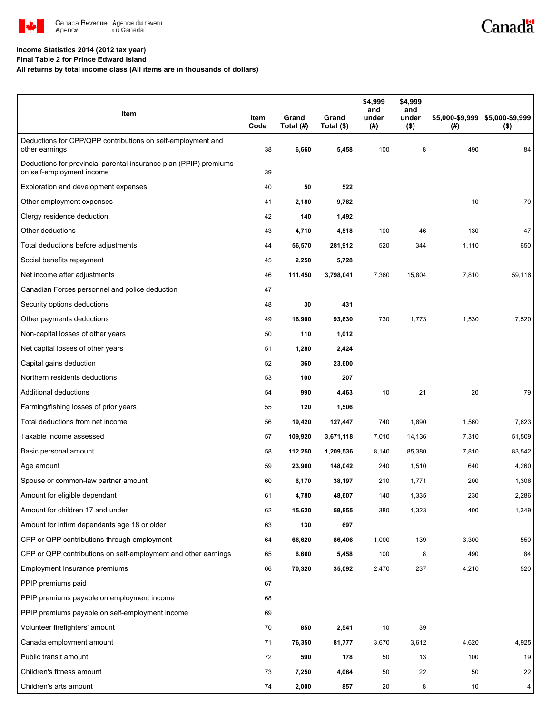

# Canadä

### **Income Statistics 2014 (2012 tax year)**

**Final Table 2 for Prince Edward Island**

**All returns by total income class (All items are in thousands of dollars)**

| Item                                                                                           | Item<br>Code | Grand<br>Total (#) | Grand<br>Total (\$) | \$4,999<br>and<br>under<br>(#) | \$4,999<br>and<br>under<br>$($ \$) | $($ #) | \$5,000-\$9,999 \$5,000-\$9,999<br>$($ \$) |
|------------------------------------------------------------------------------------------------|--------------|--------------------|---------------------|--------------------------------|------------------------------------|--------|--------------------------------------------|
| Deductions for CPP/QPP contributions on self-employment and<br>other earnings                  | 38           | 6,660              | 5,458               | 100                            | 8                                  | 490    | 84                                         |
| Deductions for provincial parental insurance plan (PPIP) premiums<br>on self-employment income | 39           |                    |                     |                                |                                    |        |                                            |
| Exploration and development expenses                                                           | 40           | 50                 | 522                 |                                |                                    |        |                                            |
| Other employment expenses                                                                      | 41           | 2,180              | 9,782               |                                |                                    | 10     | 70                                         |
| Clergy residence deduction                                                                     | 42           | 140                | 1,492               |                                |                                    |        |                                            |
| Other deductions                                                                               | 43           | 4,710              | 4,518               | 100                            | 46                                 | 130    | 47                                         |
| Total deductions before adjustments                                                            | 44           | 56,570             | 281,912             | 520                            | 344                                | 1,110  | 650                                        |
| Social benefits repayment                                                                      | 45           | 2,250              | 5,728               |                                |                                    |        |                                            |
| Net income after adjustments                                                                   | 46           | 111,450            | 3,798,041           | 7,360                          | 15,804                             | 7,810  | 59,116                                     |
| Canadian Forces personnel and police deduction                                                 | 47           |                    |                     |                                |                                    |        |                                            |
| Security options deductions                                                                    | 48           | 30                 | 431                 |                                |                                    |        |                                            |
| Other payments deductions                                                                      | 49           | 16,900             | 93,630              | 730                            | 1,773                              | 1,530  | 7,520                                      |
| Non-capital losses of other years                                                              | 50           | 110                | 1,012               |                                |                                    |        |                                            |
| Net capital losses of other years                                                              | 51           | 1,280              | 2,424               |                                |                                    |        |                                            |
| Capital gains deduction                                                                        | 52           | 360                | 23,600              |                                |                                    |        |                                            |
| Northern residents deductions                                                                  | 53           | 100                | 207                 |                                |                                    |        |                                            |
| Additional deductions                                                                          | 54           | 990                | 4,463               | 10                             | 21                                 | 20     | 79                                         |
| Farming/fishing losses of prior years                                                          | 55           | 120                | 1,506               |                                |                                    |        |                                            |
| Total deductions from net income                                                               | 56           | 19,420             | 127,447             | 740                            | 1,890                              | 1,560  | 7,623                                      |
| Taxable income assessed                                                                        | 57           | 109,920            | 3,671,118           | 7,010                          | 14,136                             | 7,310  | 51,509                                     |
| Basic personal amount                                                                          | 58           | 112,250            | 1,209,536           | 8,140                          | 85,380                             | 7,810  | 83,542                                     |
| Age amount                                                                                     | 59           | 23,960             | 148,042             | 240                            | 1,510                              | 640    | 4,260                                      |
| Spouse or common-law partner amount                                                            | 60           | 6,170              | 38,197              | 210                            | 1,771                              | 200    | 1,308                                      |
| Amount for eligible dependant                                                                  | 61           | 4,780              | 48,607              | 140                            | 1,335                              | 230    | 2,286                                      |
| Amount for children 17 and under                                                               | 62           | 15,620             | 59,855              | 380                            | 1,323                              | 400    | 1,349                                      |
| Amount for infirm dependants age 18 or older                                                   | 63           | 130                | 697                 |                                |                                    |        |                                            |
| CPP or QPP contributions through employment                                                    | 64           | 66,620             | 86,406              | 1,000                          | 139                                | 3,300  | 550                                        |
| CPP or QPP contributions on self-employment and other earnings                                 | 65           | 6,660              | 5,458               | 100                            | 8                                  | 490    | 84                                         |
| Employment Insurance premiums                                                                  | 66           | 70,320             | 35,092              | 2,470                          | 237                                | 4,210  | 520                                        |
| PPIP premiums paid                                                                             | 67           |                    |                     |                                |                                    |        |                                            |
| PPIP premiums payable on employment income                                                     | 68           |                    |                     |                                |                                    |        |                                            |
| PPIP premiums payable on self-employment income                                                | 69           |                    |                     |                                |                                    |        |                                            |
| Volunteer firefighters' amount                                                                 | 70           | 850                | 2,541               | 10                             | 39                                 |        |                                            |
| Canada employment amount                                                                       | 71           | 76,350             | 81,777              | 3,670                          | 3,612                              | 4,620  | 4,925                                      |
| Public transit amount                                                                          | 72           | 590                | 178                 | 50                             | 13                                 | 100    | 19                                         |
| Children's fitness amount                                                                      | 73           | 7,250              | 4,064               | 50                             | 22                                 | 50     | 22                                         |
| Children's arts amount                                                                         | 74           | 2,000              | 857                 | 20                             | 8                                  | 10     | $\overline{4}$                             |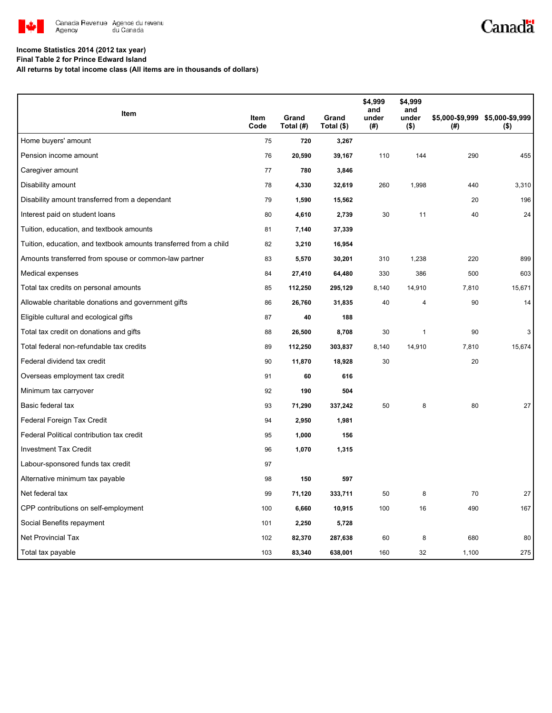

# Canadä

#### **Income Statistics 2014 (2012 tax year)**

**Final Table 2 for Prince Edward Island**

**All returns by total income class (All items are in thousands of dollars)**

|                                                                   |              |                    |                     | \$4,999<br>and | \$4,999<br>and   |       |                                            |
|-------------------------------------------------------------------|--------------|--------------------|---------------------|----------------|------------------|-------|--------------------------------------------|
| Item                                                              | Item<br>Code | Grand<br>Total (#) | Grand<br>Total (\$) | under<br>(#)   | under<br>$($ \$) | (#)   | \$5,000-\$9,999 \$5,000-\$9,999<br>$($ \$) |
| Home buyers' amount                                               | 75           | 720                | 3,267               |                |                  |       |                                            |
| Pension income amount                                             | 76           | 20,590             | 39,167              | 110            | 144              | 290   | 455                                        |
| Caregiver amount                                                  | 77           | 780                | 3,846               |                |                  |       |                                            |
| Disability amount                                                 | 78           | 4,330              | 32,619              | 260            | 1,998            | 440   | 3,310                                      |
| Disability amount transferred from a dependant                    | 79           | 1,590              | 15,562              |                |                  | 20    | 196                                        |
| Interest paid on student loans                                    | 80           | 4,610              | 2,739               | 30             | 11               | 40    | 24                                         |
| Tuition, education, and textbook amounts                          | 81           | 7,140              | 37,339              |                |                  |       |                                            |
| Tuition, education, and textbook amounts transferred from a child | 82           | 3,210              | 16,954              |                |                  |       |                                            |
| Amounts transferred from spouse or common-law partner             | 83           | 5,570              | 30,201              | 310            | 1,238            | 220   | 899                                        |
| Medical expenses                                                  | 84           | 27,410             | 64,480              | 330            | 386              | 500   | 603                                        |
| Total tax credits on personal amounts                             | 85           | 112,250            | 295,129             | 8,140          | 14,910           | 7,810 | 15,671                                     |
| Allowable charitable donations and government gifts               | 86           | 26,760             | 31,835              | 40             | 4                | 90    | 14                                         |
| Eligible cultural and ecological gifts                            | 87           | 40                 | 188                 |                |                  |       |                                            |
| Total tax credit on donations and gifts                           | 88           | 26,500             | 8,708               | 30             | $\mathbf{1}$     | 90    | 3                                          |
| Total federal non-refundable tax credits                          | 89           | 112,250            | 303,837             | 8,140          | 14,910           | 7,810 | 15,674                                     |
| Federal dividend tax credit                                       | 90           | 11,870             | 18,928              | 30             |                  | 20    |                                            |
| Overseas employment tax credit                                    | 91           | 60                 | 616                 |                |                  |       |                                            |
| Minimum tax carryover                                             | 92           | 190                | 504                 |                |                  |       |                                            |
| Basic federal tax                                                 | 93           | 71,290             | 337,242             | 50             | 8                | 80    | 27                                         |
| Federal Foreign Tax Credit                                        | 94           | 2,950              | 1,981               |                |                  |       |                                            |
| Federal Political contribution tax credit                         | 95           | 1,000              | 156                 |                |                  |       |                                            |
| <b>Investment Tax Credit</b>                                      | 96           | 1,070              | 1,315               |                |                  |       |                                            |
| Labour-sponsored funds tax credit                                 | 97           |                    |                     |                |                  |       |                                            |
| Alternative minimum tax payable                                   | 98           | 150                | 597                 |                |                  |       |                                            |
| Net federal tax                                                   | 99           | 71,120             | 333,711             | 50             | 8                | 70    | 27                                         |
| CPP contributions on self-employment                              | 100          | 6,660              | 10,915              | 100            | 16               | 490   | 167                                        |
| Social Benefits repayment                                         | 101          | 2,250              | 5,728               |                |                  |       |                                            |
| Net Provincial Tax                                                | 102          | 82,370             | 287,638             | 60             | 8                | 680   | 80                                         |
| Total tax payable                                                 | 103          | 83,340             | 638,001             | 160            | 32               | 1,100 | 275                                        |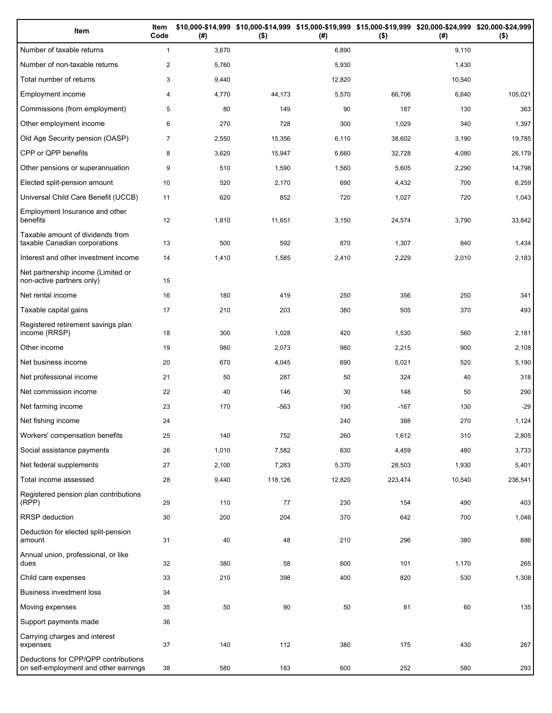| Item                                                                          | Item<br>Code   | (#)   | \$10,000-\$14,999 \$10,000-\$14,999 \$15,000-\$19,999 \$15,000-\$19,999 \$20,000-\$24,999 \$20,000-\$24,999<br>$($ \$) | (#)    | $($ \$) | (#)    | $($ \$) |
|-------------------------------------------------------------------------------|----------------|-------|------------------------------------------------------------------------------------------------------------------------|--------|---------|--------|---------|
| Number of taxable returns                                                     | $\mathbf{1}$   | 3,670 |                                                                                                                        | 6,890  |         | 9,110  |         |
| Number of non-taxable returns                                                 | $\overline{c}$ | 5,760 |                                                                                                                        | 5,930  |         | 1,430  |         |
| Total number of returns                                                       | 3              | 9,440 |                                                                                                                        | 12,820 |         | 10,540 |         |
| Employment income                                                             | 4              | 4,770 | 44,173                                                                                                                 | 5,570  | 66,706  | 6,640  | 105,021 |
| Commissions (from employment)                                                 | 5              | 80    | 149                                                                                                                    | 90     | 187     | 130    | 363     |
| Other employment income                                                       | 6              | 270   | 728                                                                                                                    | 300    | 1,029   | 340    | 1,397   |
| Old Age Security pension (OASP)                                               | $\overline{7}$ | 2,550 | 15,356                                                                                                                 | 6,110  | 38,602  | 3,190  | 19,785  |
| CPP or QPP benefits                                                           | 8              | 3,620 | 15,947                                                                                                                 | 6,660  | 32,728  | 4,080  | 26,179  |
| Other pensions or superannuation                                              | 9              | 510   | 1,590                                                                                                                  | 1,560  | 5,605   | 2,290  | 14,798  |
| Elected split-pension amount                                                  | 10             | 520   | 2,170                                                                                                                  | 690    | 4,432   | 700    | 6,259   |
| Universal Child Care Benefit (UCCB)                                           | 11             | 620   | 852                                                                                                                    | 720    | 1,027   | 720    | 1,043   |
| Employment Insurance and other<br>benefits                                    | 12             | 1,810 | 11,651                                                                                                                 | 3,150  | 24,574  | 3,790  | 33,842  |
| Taxable amount of dividends from<br>taxable Canadian corporations             | 13             | 500   | 592                                                                                                                    | 870    | 1,307   | 840    | 1,434   |
| Interest and other investment income                                          | 14             | 1,410 | 1,585                                                                                                                  | 2,410  | 2,229   | 2,010  | 2,183   |
| Net partnership income (Limited or<br>non-active partners only)               | 15             |       |                                                                                                                        |        |         |        |         |
| Net rental income                                                             | 16             | 180   | 419                                                                                                                    | 250    | 356     | 250    | 341     |
| Taxable capital gains                                                         | 17             | 210   | 203                                                                                                                    | 380    | 505     | 370    | 493     |
| Registered retirement savings plan<br>income (RRSP)                           | 18             | 300   | 1,028                                                                                                                  | 420    | 1,530   | 560    | 2,181   |
| Other income                                                                  | 19             | 980   | 2,073                                                                                                                  | 980    | 2,215   | 900    | 2,108   |
| Net business income                                                           | 20             | 670   | 4,045                                                                                                                  | 690    | 5,021   | 520    | 5,190   |
| Net professional income                                                       | 21             | 50    | 287                                                                                                                    | 50     | 324     | 40     | 318     |
| Net commission income                                                         | 22             | 40    | 146                                                                                                                    | 30     | 148     | 50     | 290     |
| Net farming income                                                            | 23             | 170   | $-563$                                                                                                                 | 190    | $-167$  | 130    | $-29$   |
| Net fishing income                                                            | 24             |       |                                                                                                                        | 240    | 388     | 270    | 1,124   |
| Workers' compensation benefits                                                | 25             | 140   | 752                                                                                                                    | 260    | 1,612   | 310    | 2,805   |
| Social assistance payments                                                    | 26             | 1,010 | 7,582                                                                                                                  | 630    | 4,459   | 480    | 3,733   |
| Net federal supplements                                                       | 27             | 2,100 | 7,283                                                                                                                  | 5,370  | 28,503  | 1,930  | 5,401   |
| Total income assessed                                                         | 28             | 9,440 | 118,126                                                                                                                | 12,820 | 223,474 | 10,540 | 236,541 |
| Registered pension plan contributions<br>(RPP)                                | 29             | 110   | 77                                                                                                                     | 230    | 154     | 490    | 403     |
| RRSP deduction                                                                | 30             | 200   | 204                                                                                                                    | 370    | 642     | 700    | 1,046   |
| Deduction for elected split-pension<br>amount                                 | 31             | 40    | 48                                                                                                                     | 210    | 296     | 380    | 886     |
| Annual union, professional, or like<br>dues                                   | 32             | 380   | 58                                                                                                                     | 600    | 101     | 1,170  | 265     |
| Child care expenses                                                           | 33             | 210   | 398                                                                                                                    | 400    | 820     | 530    | 1,308   |
| <b>Business investment loss</b>                                               | 34             |       |                                                                                                                        |        |         |        |         |
| Moving expenses                                                               | 35             | 50    | 90                                                                                                                     | 50     | 81      | 60     | 135     |
| Support payments made                                                         | 36             |       |                                                                                                                        |        |         |        |         |
| Carrying charges and interest<br>expenses                                     | 37             | 140   | 112                                                                                                                    | 380    | 175     | 430    | 267     |
| Deductions for CPP/QPP contributions<br>on self-employment and other earnings | 38             | 580   | 183                                                                                                                    | 600    | 252     | 580    | 293     |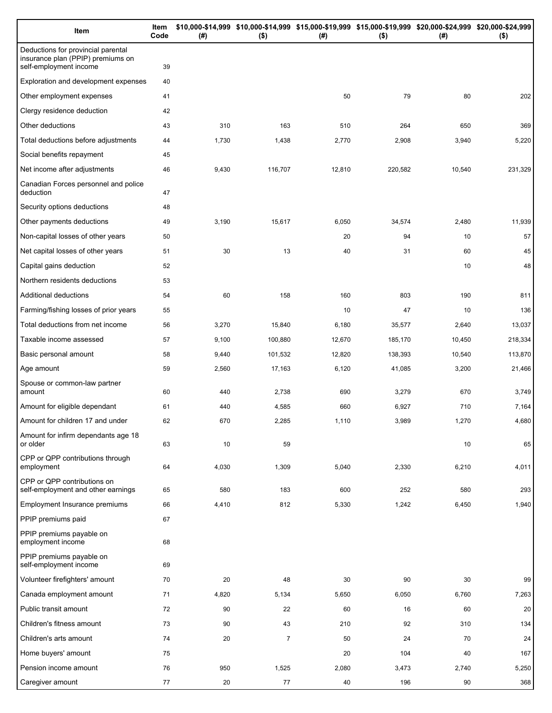| Item                                                                                              | Item<br>Code | (# )  | \$10,000-\$14,999 \$10,000-\$14,999 \$15,000-\$19,999 \$15,000-\$19,999 \$20,000-\$24,999 \$20,000-\$24,999<br>$($ \$) | (# )   | $($ \$) | (# )   | $($ \$) |
|---------------------------------------------------------------------------------------------------|--------------|-------|------------------------------------------------------------------------------------------------------------------------|--------|---------|--------|---------|
| Deductions for provincial parental<br>insurance plan (PPIP) premiums on<br>self-employment income | 39           |       |                                                                                                                        |        |         |        |         |
| Exploration and development expenses                                                              | 40           |       |                                                                                                                        |        |         |        |         |
| Other employment expenses                                                                         | 41           |       |                                                                                                                        | 50     | 79      | 80     | 202     |
| Clergy residence deduction                                                                        | 42           |       |                                                                                                                        |        |         |        |         |
| Other deductions                                                                                  | 43           | 310   | 163                                                                                                                    | 510    | 264     | 650    | 369     |
| Total deductions before adjustments                                                               | 44           | 1,730 | 1,438                                                                                                                  | 2,770  | 2,908   | 3,940  | 5,220   |
| Social benefits repayment                                                                         | 45           |       |                                                                                                                        |        |         |        |         |
| Net income after adjustments                                                                      | 46           | 9,430 | 116,707                                                                                                                | 12,810 | 220,582 | 10,540 | 231,329 |
| Canadian Forces personnel and police<br>deduction                                                 | 47           |       |                                                                                                                        |        |         |        |         |
| Security options deductions                                                                       | 48           |       |                                                                                                                        |        |         |        |         |
| Other payments deductions                                                                         | 49           | 3,190 | 15,617                                                                                                                 | 6,050  | 34,574  | 2,480  | 11,939  |
| Non-capital losses of other years                                                                 | 50           |       |                                                                                                                        | 20     | 94      | 10     | 57      |
| Net capital losses of other years                                                                 | 51           | 30    | 13                                                                                                                     | 40     | 31      | 60     | 45      |
| Capital gains deduction                                                                           | 52           |       |                                                                                                                        |        |         | 10     | 48      |
| Northern residents deductions                                                                     | 53           |       |                                                                                                                        |        |         |        |         |
| Additional deductions                                                                             | 54           | 60    | 158                                                                                                                    | 160    | 803     | 190    | 811     |
| Farming/fishing losses of prior years                                                             | 55           |       |                                                                                                                        | 10     | 47      | 10     | 136     |
| Total deductions from net income                                                                  | 56           | 3,270 | 15,840                                                                                                                 | 6,180  | 35,577  | 2,640  | 13,037  |
| Taxable income assessed                                                                           | 57           | 9,100 | 100,880                                                                                                                | 12,670 | 185,170 | 10,450 | 218,334 |
| Basic personal amount                                                                             | 58           | 9,440 | 101,532                                                                                                                | 12,820 | 138,393 | 10,540 | 113,870 |
| Age amount                                                                                        | 59           | 2,560 | 17,163                                                                                                                 | 6,120  | 41,085  | 3,200  | 21,466  |
| Spouse or common-law partner<br>amount                                                            | 60           | 440   | 2,738                                                                                                                  | 690    | 3,279   | 670    | 3,749   |
| Amount for eligible dependant                                                                     | 61           | 440   | 4,585                                                                                                                  | 660    | 6,927   | 710    | 7,164   |
| Amount for children 17 and under                                                                  | 62           | 670   | 2,285                                                                                                                  | 1,110  | 3,989   | 1,270  | 4,680   |
| Amount for infirm dependants age 18<br>or older                                                   | 63           | 10    | 59                                                                                                                     |        |         | 10     | 65      |
| CPP or QPP contributions through<br>employment                                                    | 64           | 4,030 | 1,309                                                                                                                  | 5,040  | 2,330   | 6,210  | 4,011   |
| CPP or QPP contributions on<br>self-employment and other earnings                                 | 65           | 580   | 183                                                                                                                    | 600    | 252     | 580    | 293     |
| Employment Insurance premiums                                                                     | 66           | 4,410 | 812                                                                                                                    | 5,330  | 1,242   | 6,450  | 1,940   |
| PPIP premiums paid                                                                                | 67           |       |                                                                                                                        |        |         |        |         |
| PPIP premiums payable on<br>employment income                                                     | 68           |       |                                                                                                                        |        |         |        |         |
| PPIP premiums payable on<br>self-employment income                                                | 69           |       |                                                                                                                        |        |         |        |         |
| Volunteer firefighters' amount                                                                    | 70           | 20    | 48                                                                                                                     | 30     | 90      | 30     | 99      |
| Canada employment amount                                                                          | 71           | 4,820 | 5,134                                                                                                                  | 5,650  | 6,050   | 6,760  | 7,263   |
| Public transit amount                                                                             | 72           | 90    | 22                                                                                                                     | 60     | 16      | 60     | 20      |
| Children's fitness amount                                                                         | 73           | 90    | 43                                                                                                                     | 210    | 92      | 310    | 134     |
| Children's arts amount                                                                            | 74           | 20    | $\overline{7}$                                                                                                         | 50     | 24      | 70     | 24      |
| Home buyers' amount                                                                               | 75           |       |                                                                                                                        | 20     | 104     | 40     | 167     |
| Pension income amount                                                                             | 76           | 950   | 1,525                                                                                                                  | 2,080  | 3,473   | 2,740  | 5,250   |
| Caregiver amount                                                                                  | 77           | 20    | 77                                                                                                                     | 40     | 196     | 90     | 368     |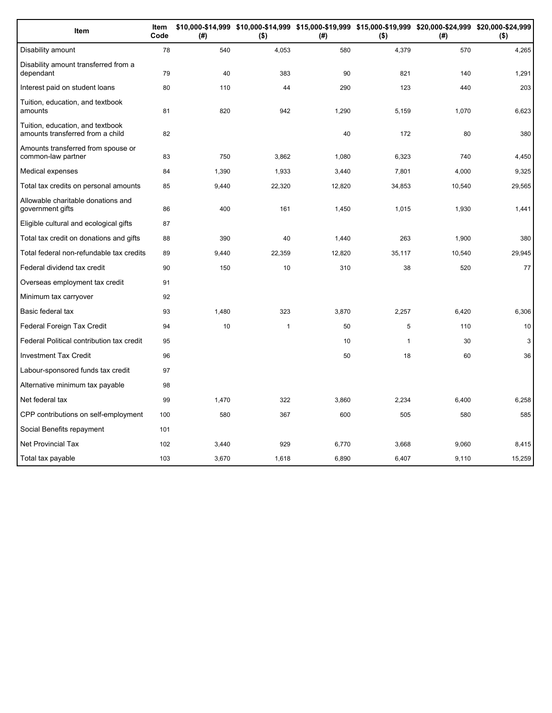| Item                                                                 | Item<br>Code | (#)   | \$10,000-\$14,999 \$10,000-\$14,999 \$15,000-\$19,999 \$15,000-\$19,999 \$20,000-\$24,999 \$20,000-\$24,999<br>$($ \$) | (#)    | $($ \$)      | (#)    | $($ \$) |
|----------------------------------------------------------------------|--------------|-------|------------------------------------------------------------------------------------------------------------------------|--------|--------------|--------|---------|
| Disability amount                                                    | 78           | 540   | 4,053                                                                                                                  | 580    | 4,379        | 570    | 4,265   |
| Disability amount transferred from a<br>dependant                    | 79           | 40    | 383                                                                                                                    | 90     | 821          | 140    | 1,291   |
| Interest paid on student loans                                       | 80           | 110   | 44                                                                                                                     | 290    | 123          | 440    | 203     |
| Tuition, education, and textbook<br>amounts                          | 81           | 820   | 942                                                                                                                    | 1,290  | 5,159        | 1,070  | 6,623   |
| Tuition, education, and textbook<br>amounts transferred from a child | 82           |       |                                                                                                                        | 40     | 172          | 80     | 380     |
| Amounts transferred from spouse or<br>common-law partner             | 83           | 750   | 3.862                                                                                                                  | 1,080  | 6,323        | 740    | 4,450   |
| Medical expenses                                                     | 84           | 1,390 | 1,933                                                                                                                  | 3,440  | 7,801        | 4,000  | 9,325   |
| Total tax credits on personal amounts                                | 85           | 9,440 | 22,320                                                                                                                 | 12,820 | 34,853       | 10,540 | 29,565  |
| Allowable charitable donations and<br>government gifts               | 86           | 400   | 161                                                                                                                    | 1,450  | 1,015        | 1,930  | 1,441   |
| Eligible cultural and ecological gifts                               | 87           |       |                                                                                                                        |        |              |        |         |
| Total tax credit on donations and gifts                              | 88           | 390   | 40                                                                                                                     | 1,440  | 263          | 1,900  | 380     |
| Total federal non-refundable tax credits                             | 89           | 9,440 | 22,359                                                                                                                 | 12,820 | 35,117       | 10,540 | 29,945  |
| Federal dividend tax credit                                          | 90           | 150   | 10                                                                                                                     | 310    | 38           | 520    | 77      |
| Overseas employment tax credit                                       | 91           |       |                                                                                                                        |        |              |        |         |
| Minimum tax carryover                                                | 92           |       |                                                                                                                        |        |              |        |         |
| Basic federal tax                                                    | 93           | 1,480 | 323                                                                                                                    | 3,870  | 2,257        | 6,420  | 6,306   |
| Federal Foreign Tax Credit                                           | 94           | 10    | $\mathbf{1}$                                                                                                           | 50     | 5            | 110    | 10      |
| Federal Political contribution tax credit                            | 95           |       |                                                                                                                        | 10     | $\mathbf{1}$ | 30     | 3       |
| <b>Investment Tax Credit</b>                                         | 96           |       |                                                                                                                        | 50     | 18           | 60     | 36      |
| Labour-sponsored funds tax credit                                    | 97           |       |                                                                                                                        |        |              |        |         |
| Alternative minimum tax payable                                      | 98           |       |                                                                                                                        |        |              |        |         |
| Net federal tax                                                      | 99           | 1,470 | 322                                                                                                                    | 3,860  | 2,234        | 6,400  | 6,258   |
| CPP contributions on self-employment                                 | 100          | 580   | 367                                                                                                                    | 600    | 505          | 580    | 585     |
| Social Benefits repayment                                            | 101          |       |                                                                                                                        |        |              |        |         |
| <b>Net Provincial Tax</b>                                            | 102          | 3,440 | 929                                                                                                                    | 6,770  | 3.668        | 9,060  | 8,415   |
| Total tax payable                                                    | 103          | 3,670 | 1,618                                                                                                                  | 6,890  | 6,407        | 9,110  | 15,259  |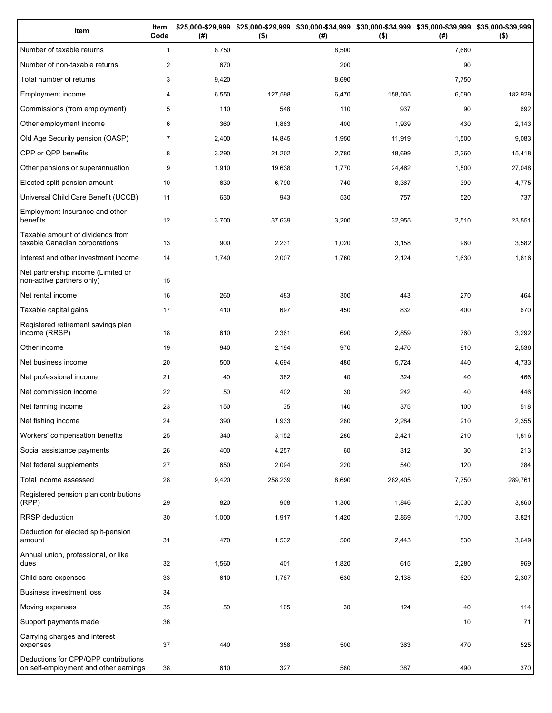| Item                                                                          | Item<br>Code   | (#)   | \$25,000-\$29,999 \$25,000-\$29,999 \$30,000-\$34,999 \$30,000-\$34,999 \$35,000-\$39,999 \$35,000-\$39,999<br>$($ \$) | (#)   | $($ \$) | (#)   | $($ \$) |
|-------------------------------------------------------------------------------|----------------|-------|------------------------------------------------------------------------------------------------------------------------|-------|---------|-------|---------|
| Number of taxable returns                                                     | $\mathbf{1}$   | 8,750 |                                                                                                                        | 8,500 |         | 7,660 |         |
| Number of non-taxable returns                                                 | $\overline{2}$ | 670   |                                                                                                                        | 200   |         | 90    |         |
| Total number of returns                                                       | 3              | 9,420 |                                                                                                                        | 8,690 |         | 7,750 |         |
| Employment income                                                             | 4              | 6,550 | 127,598                                                                                                                | 6,470 | 158,035 | 6,090 | 182,929 |
| Commissions (from employment)                                                 | 5              | 110   | 548                                                                                                                    | 110   | 937     | 90    | 692     |
| Other employment income                                                       | 6              | 360   | 1,863                                                                                                                  | 400   | 1,939   | 430   | 2,143   |
| Old Age Security pension (OASP)                                               | $\overline{7}$ | 2,400 | 14,845                                                                                                                 | 1,950 | 11,919  | 1,500 | 9,083   |
| CPP or QPP benefits                                                           | 8              | 3,290 | 21,202                                                                                                                 | 2,780 | 18,699  | 2,260 | 15,418  |
| Other pensions or superannuation                                              | 9              | 1,910 | 19,638                                                                                                                 | 1,770 | 24,462  | 1,500 | 27,048  |
| Elected split-pension amount                                                  | 10             | 630   | 6,790                                                                                                                  | 740   | 8,367   | 390   | 4,775   |
| Universal Child Care Benefit (UCCB)                                           | 11             | 630   | 943                                                                                                                    | 530   | 757     | 520   | 737     |
| Employment Insurance and other<br>benefits                                    | 12             | 3,700 | 37,639                                                                                                                 | 3,200 | 32,955  | 2,510 | 23,551  |
| Taxable amount of dividends from<br>taxable Canadian corporations             | 13             | 900   | 2,231                                                                                                                  | 1,020 | 3,158   | 960   | 3,582   |
| Interest and other investment income                                          | 14             | 1,740 | 2,007                                                                                                                  | 1,760 | 2,124   | 1,630 | 1,816   |
| Net partnership income (Limited or<br>non-active partners only)               | 15             |       |                                                                                                                        |       |         |       |         |
| Net rental income                                                             | 16             | 260   | 483                                                                                                                    | 300   | 443     | 270   | 464     |
| Taxable capital gains                                                         | 17             | 410   | 697                                                                                                                    | 450   | 832     | 400   | 670     |
| Registered retirement savings plan<br>income (RRSP)                           | 18             | 610   | 2,361                                                                                                                  | 690   | 2,859   | 760   | 3,292   |
| Other income                                                                  | 19             | 940   | 2,194                                                                                                                  | 970   | 2,470   | 910   | 2,536   |
| Net business income                                                           | 20             | 500   | 4,694                                                                                                                  | 480   | 5,724   | 440   | 4,733   |
| Net professional income                                                       | 21             | 40    | 382                                                                                                                    | 40    | 324     | 40    | 466     |
| Net commission income                                                         | 22             | 50    | 402                                                                                                                    | 30    | 242     | 40    | 446     |
| Net farming income                                                            | 23             | 150   | 35                                                                                                                     | 140   | 375     | 100   | 518     |
| Net fishing income                                                            | 24             | 390   | 1,933                                                                                                                  | 280   | 2,284   | 210   | 2,355   |
| Workers' compensation benefits                                                | 25             | 340   | 3,152                                                                                                                  | 280   | 2,421   | 210   | 1,816   |
| Social assistance payments                                                    | 26             | 400   | 4,257                                                                                                                  | 60    | 312     | 30    | 213     |
| Net federal supplements                                                       | 27             | 650   | 2,094                                                                                                                  | 220   | 540     | 120   | 284     |
| Total income assessed                                                         | 28             | 9,420 | 258,239                                                                                                                | 8,690 | 282,405 | 7,750 | 289,761 |
| Registered pension plan contributions<br>(RPP)                                | 29             | 820   | 908                                                                                                                    | 1,300 | 1,846   | 2,030 | 3,860   |
| RRSP deduction                                                                | 30             | 1,000 | 1,917                                                                                                                  | 1,420 | 2,869   | 1,700 | 3,821   |
| Deduction for elected split-pension<br>amount                                 | 31             | 470   | 1,532                                                                                                                  | 500   | 2,443   | 530   | 3,649   |
| Annual union, professional, or like<br>dues                                   | 32             | 1,560 | 401                                                                                                                    | 1,820 | 615     | 2,280 | 969     |
| Child care expenses                                                           | 33             | 610   | 1,787                                                                                                                  | 630   | 2,138   | 620   | 2,307   |
| Business investment loss                                                      | 34             |       |                                                                                                                        |       |         |       |         |
| Moving expenses                                                               | 35             | 50    | 105                                                                                                                    | 30    | 124     | 40    | 114     |
| Support payments made                                                         | 36             |       |                                                                                                                        |       |         | 10    | 71      |
| Carrying charges and interest<br>expenses                                     | 37             | 440   | 358                                                                                                                    | 500   | 363     | 470   | 525     |
| Deductions for CPP/QPP contributions<br>on self-employment and other earnings | 38             | 610   | 327                                                                                                                    | 580   | 387     | 490   | 370     |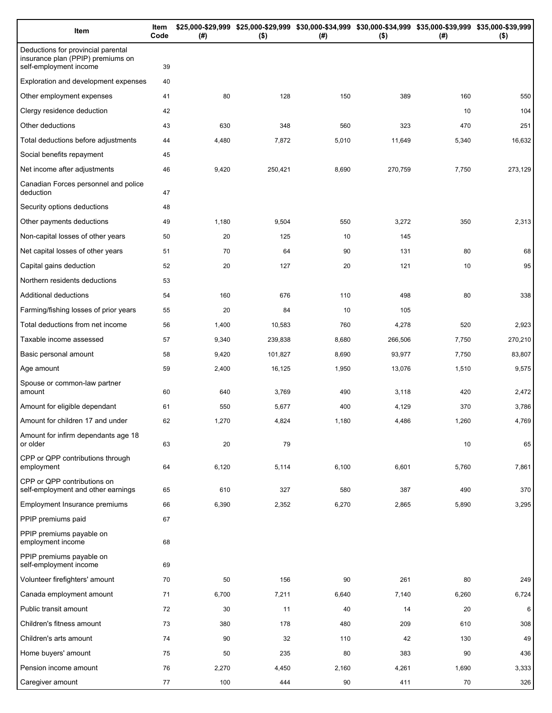| Item                                                                                              | Item<br>Code | (#)   | \$25,000-\$29,999 \$25,000-\$29,999 \$30,000-\$34,999 \$30,000-\$34,999 \$35,000-\$39,999 \$35,000-\$39,999<br>$($ \$) | (# )  | $($ \$) | (# )  | $($ \$) |
|---------------------------------------------------------------------------------------------------|--------------|-------|------------------------------------------------------------------------------------------------------------------------|-------|---------|-------|---------|
| Deductions for provincial parental<br>insurance plan (PPIP) premiums on<br>self-employment income | 39           |       |                                                                                                                        |       |         |       |         |
| Exploration and development expenses                                                              | 40           |       |                                                                                                                        |       |         |       |         |
| Other employment expenses                                                                         | 41           | 80    | 128                                                                                                                    | 150   | 389     | 160   | 550     |
| Clergy residence deduction                                                                        | 42           |       |                                                                                                                        |       |         | 10    | 104     |
| Other deductions                                                                                  | 43           | 630   | 348                                                                                                                    | 560   | 323     | 470   | 251     |
| Total deductions before adjustments                                                               | 44           | 4,480 | 7,872                                                                                                                  | 5,010 | 11,649  | 5,340 | 16,632  |
| Social benefits repayment                                                                         | 45           |       |                                                                                                                        |       |         |       |         |
| Net income after adjustments                                                                      | 46           | 9,420 | 250,421                                                                                                                | 8,690 | 270,759 | 7,750 | 273,129 |
| Canadian Forces personnel and police<br>deduction                                                 | 47           |       |                                                                                                                        |       |         |       |         |
| Security options deductions                                                                       | 48           |       |                                                                                                                        |       |         |       |         |
| Other payments deductions                                                                         | 49           | 1,180 | 9,504                                                                                                                  | 550   | 3,272   | 350   | 2,313   |
| Non-capital losses of other years                                                                 | 50           | 20    | 125                                                                                                                    | 10    | 145     |       |         |
| Net capital losses of other years                                                                 | 51           | 70    | 64                                                                                                                     | 90    | 131     | 80    | 68      |
| Capital gains deduction                                                                           | 52           | 20    | 127                                                                                                                    | 20    | 121     | 10    | 95      |
| Northern residents deductions                                                                     | 53           |       |                                                                                                                        |       |         |       |         |
| Additional deductions                                                                             | 54           | 160   | 676                                                                                                                    | 110   | 498     | 80    | 338     |
| Farming/fishing losses of prior years                                                             | 55           | 20    | 84                                                                                                                     | 10    | 105     |       |         |
| Total deductions from net income                                                                  | 56           | 1,400 | 10,583                                                                                                                 | 760   | 4,278   | 520   | 2,923   |
| Taxable income assessed                                                                           | 57           | 9,340 | 239,838                                                                                                                | 8,680 | 266,506 | 7,750 | 270,210 |
| Basic personal amount                                                                             | 58           | 9,420 | 101,827                                                                                                                | 8,690 | 93,977  | 7,750 | 83,807  |
| Age amount                                                                                        | 59           | 2,400 | 16,125                                                                                                                 | 1,950 | 13,076  | 1,510 | 9,575   |
| Spouse or common-law partner<br>amount                                                            | 60           | 640   | 3,769                                                                                                                  | 490   | 3,118   | 420   | 2,472   |
| Amount for eligible dependant                                                                     | 61           | 550   | 5,677                                                                                                                  | 400   | 4,129   | 370   | 3,786   |
| Amount for children 17 and under                                                                  | 62           | 1,270 | 4,824                                                                                                                  | 1,180 | 4,486   | 1,260 | 4,769   |
| Amount for infirm dependants age 18<br>or older                                                   | 63           | 20    | 79                                                                                                                     |       |         | 10    | 65      |
| CPP or QPP contributions through<br>employment                                                    | 64           | 6,120 | 5,114                                                                                                                  | 6,100 | 6,601   | 5,760 | 7,861   |
| CPP or QPP contributions on<br>self-employment and other earnings                                 | 65           | 610   | 327                                                                                                                    | 580   | 387     | 490   | 370     |
| Employment Insurance premiums                                                                     | 66           | 6,390 | 2,352                                                                                                                  | 6,270 | 2,865   | 5,890 | 3,295   |
| PPIP premiums paid                                                                                | 67           |       |                                                                                                                        |       |         |       |         |
| PPIP premiums payable on<br>employment income                                                     | 68           |       |                                                                                                                        |       |         |       |         |
| PPIP premiums payable on<br>self-employment income                                                | 69           |       |                                                                                                                        |       |         |       |         |
| Volunteer firefighters' amount                                                                    | 70           | 50    | 156                                                                                                                    | 90    | 261     | 80    | 249     |
| Canada employment amount                                                                          | 71           | 6,700 | 7,211                                                                                                                  | 6,640 | 7,140   | 6,260 | 6,724   |
| Public transit amount                                                                             | 72           | 30    | 11                                                                                                                     | 40    | 14      | 20    | 6       |
| Children's fitness amount                                                                         | 73           | 380   | 178                                                                                                                    | 480   | 209     | 610   | 308     |
| Children's arts amount                                                                            | 74           | 90    | 32                                                                                                                     | 110   | 42      | 130   | 49      |
| Home buyers' amount                                                                               | 75           | 50    | 235                                                                                                                    | 80    | 383     | 90    | 436     |
| Pension income amount                                                                             | 76           | 2,270 | 4,450                                                                                                                  | 2,160 | 4,261   | 1,690 | 3,333   |
| Caregiver amount                                                                                  | 77           | 100   | 444                                                                                                                    | 90    | 411     | 70    | 326     |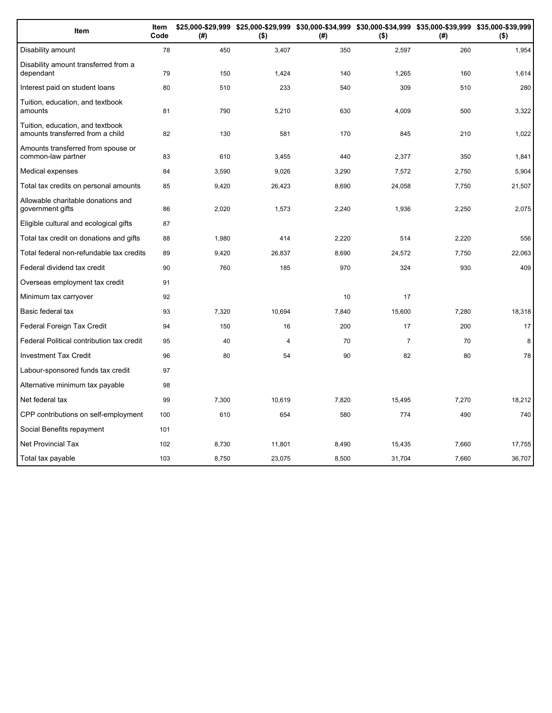| Item                                                                 | Item<br>Code | (#)   | \$25,000-\$29,999 \$25,000-\$29,999 \$30,000-\$34,999 \$30,000-\$34,999 \$35,000-\$39,999 \$35,000-\$39,999<br>$($ \$) | (#)   | $($ \$)        | (#)   | $($ \$) |
|----------------------------------------------------------------------|--------------|-------|------------------------------------------------------------------------------------------------------------------------|-------|----------------|-------|---------|
| Disability amount                                                    | 78           | 450   | 3,407                                                                                                                  | 350   | 2,597          | 260   | 1,954   |
| Disability amount transferred from a<br>dependant                    | 79           | 150   | 1,424                                                                                                                  | 140   | 1.265          | 160   | 1,614   |
| Interest paid on student loans                                       | 80           | 510   | 233                                                                                                                    | 540   | 309            | 510   | 280     |
| Tuition, education, and textbook<br>amounts                          | 81           | 790   | 5,210                                                                                                                  | 630   | 4,009          | 500   | 3,322   |
| Tuition, education, and textbook<br>amounts transferred from a child | 82           | 130   | 581                                                                                                                    | 170   | 845            | 210   | 1,022   |
| Amounts transferred from spouse or<br>common-law partner             | 83           | 610   | 3,455                                                                                                                  | 440   | 2.377          | 350   | 1,841   |
| Medical expenses                                                     | 84           | 3,590 | 9,026                                                                                                                  | 3,290 | 7,572          | 2,750 | 5.904   |
| Total tax credits on personal amounts                                | 85           | 9,420 | 26,423                                                                                                                 | 8,690 | 24,058         | 7,750 | 21,507  |
| Allowable charitable donations and<br>government gifts               | 86           | 2,020 | 1,573                                                                                                                  | 2,240 | 1,936          | 2,250 | 2,075   |
| Eligible cultural and ecological gifts                               | 87           |       |                                                                                                                        |       |                |       |         |
| Total tax credit on donations and gifts                              | 88           | 1,980 | 414                                                                                                                    | 2,220 | 514            | 2,220 | 556     |
| Total federal non-refundable tax credits                             | 89           | 9,420 | 26,837                                                                                                                 | 8,690 | 24,572         | 7,750 | 22,063  |
| Federal dividend tax credit                                          | 90           | 760   | 185                                                                                                                    | 970   | 324            | 930   | 409     |
| Overseas employment tax credit                                       | 91           |       |                                                                                                                        |       |                |       |         |
| Minimum tax carryover                                                | 92           |       |                                                                                                                        | 10    | 17             |       |         |
| Basic federal tax                                                    | 93           | 7,320 | 10,694                                                                                                                 | 7,840 | 15,600         | 7,280 | 18,318  |
| Federal Foreign Tax Credit                                           | 94           | 150   | 16                                                                                                                     | 200   | 17             | 200   | 17      |
| Federal Political contribution tax credit                            | 95           | 40    | 4                                                                                                                      | 70    | $\overline{7}$ | 70    | 8       |
| <b>Investment Tax Credit</b>                                         | 96           | 80    | 54                                                                                                                     | 90    | 82             | 80    | 78      |
| Labour-sponsored funds tax credit                                    | 97           |       |                                                                                                                        |       |                |       |         |
| Alternative minimum tax payable                                      | 98           |       |                                                                                                                        |       |                |       |         |
| Net federal tax                                                      | 99           | 7,300 | 10,619                                                                                                                 | 7,820 | 15,495         | 7,270 | 18,212  |
| CPP contributions on self-employment                                 | 100          | 610   | 654                                                                                                                    | 580   | 774            | 490   | 740     |
| Social Benefits repayment                                            | 101          |       |                                                                                                                        |       |                |       |         |
| <b>Net Provincial Tax</b>                                            | 102          | 8,730 | 11,801                                                                                                                 | 8,490 | 15,435         | 7,660 | 17,755  |
| Total tax payable                                                    | 103          | 8,750 | 23,075                                                                                                                 | 8,500 | 31,704         | 7,660 | 36,707  |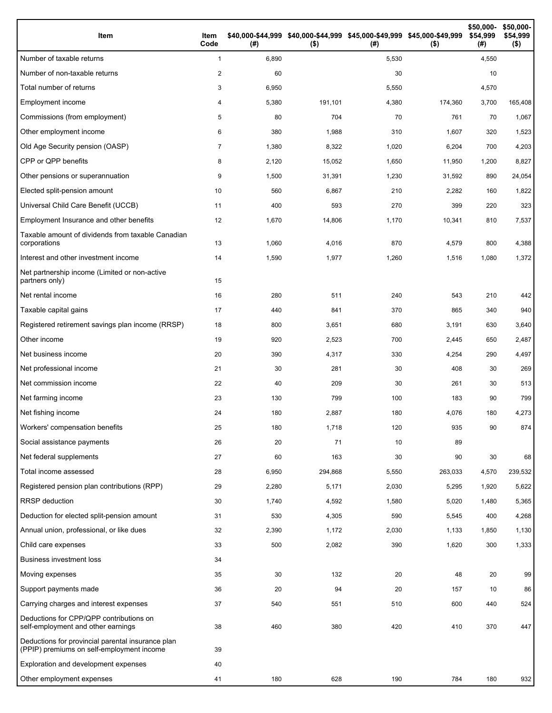| Item                                                                                           | Item<br>Code   | (#)   | \$40,000-\$44,999 \$40,000-\$44,999 \$45,000-\$49,999 \$45,000-\$49,999<br>$($ \$) | (#)   | $($ \$) | \$50,000-<br>\$54,999<br>(# ) | \$50,000-<br>\$54,999<br>$($ \$) |
|------------------------------------------------------------------------------------------------|----------------|-------|------------------------------------------------------------------------------------|-------|---------|-------------------------------|----------------------------------|
| Number of taxable returns                                                                      | $\mathbf{1}$   | 6,890 |                                                                                    | 5,530 |         | 4,550                         |                                  |
| Number of non-taxable returns                                                                  | $\overline{2}$ | 60    |                                                                                    | 30    |         | 10                            |                                  |
| Total number of returns                                                                        | 3              | 6,950 |                                                                                    | 5,550 |         | 4,570                         |                                  |
| Employment income                                                                              | 4              | 5,380 | 191,101                                                                            | 4,380 | 174,360 | 3,700                         | 165,408                          |
| Commissions (from employment)                                                                  | 5              | 80    | 704                                                                                | 70    | 761     | 70                            | 1,067                            |
| Other employment income                                                                        | 6              | 380   | 1,988                                                                              | 310   | 1,607   | 320                           | 1,523                            |
| Old Age Security pension (OASP)                                                                | $\overline{7}$ | 1,380 | 8,322                                                                              | 1,020 | 6,204   | 700                           | 4,203                            |
| CPP or QPP benefits                                                                            | 8              | 2,120 | 15,052                                                                             | 1,650 | 11,950  | 1,200                         | 8,827                            |
| Other pensions or superannuation                                                               | 9              | 1,500 | 31,391                                                                             | 1,230 | 31,592  | 890                           | 24,054                           |
| Elected split-pension amount                                                                   | 10             | 560   | 6,867                                                                              | 210   | 2,282   | 160                           | 1,822                            |
| Universal Child Care Benefit (UCCB)                                                            | 11             | 400   | 593                                                                                | 270   | 399     | 220                           | 323                              |
| Employment Insurance and other benefits                                                        | 12             | 1,670 | 14,806                                                                             | 1,170 | 10,341  | 810                           | 7,537                            |
| Taxable amount of dividends from taxable Canadian<br>corporations                              | 13             | 1,060 | 4,016                                                                              | 870   | 4,579   | 800                           | 4,388                            |
| Interest and other investment income                                                           | 14             | 1,590 | 1,977                                                                              | 1,260 | 1,516   | 1,080                         | 1,372                            |
| Net partnership income (Limited or non-active<br>partners only)                                | 15             |       |                                                                                    |       |         |                               |                                  |
| Net rental income                                                                              | 16             | 280   | 511                                                                                | 240   | 543     | 210                           | 442                              |
| Taxable capital gains                                                                          | 17             | 440   | 841                                                                                | 370   | 865     | 340                           | 940                              |
| Registered retirement savings plan income (RRSP)                                               | 18             | 800   | 3,651                                                                              | 680   | 3,191   | 630                           | 3,640                            |
| Other income                                                                                   | 19             | 920   | 2,523                                                                              | 700   | 2,445   | 650                           | 2,487                            |
| Net business income                                                                            | 20             | 390   | 4,317                                                                              | 330   | 4,254   | 290                           | 4,497                            |
| Net professional income                                                                        | 21             | 30    | 281                                                                                | 30    | 408     | 30                            | 269                              |
| Net commission income                                                                          | 22             | 40    | 209                                                                                | 30    | 261     | 30                            | 513                              |
| Net farming income                                                                             | 23             | 130   | 799                                                                                | 100   | 183     | 90                            | 799                              |
| Net fishing income                                                                             | 24             | 180   | 2,887                                                                              | 180   | 4,076   | 180                           | 4,273                            |
| Workers' compensation benefits                                                                 | 25             | 180   | 1,718                                                                              | 120   | 935     | 90                            | 874                              |
| Social assistance payments                                                                     | 26             | 20    | 71                                                                                 | 10    | 89      |                               |                                  |
| Net federal supplements                                                                        | 27             | 60    | 163                                                                                | 30    | 90      | 30                            | 68                               |
| Total income assessed                                                                          | 28             | 6,950 | 294,868                                                                            | 5,550 | 263,033 | 4,570                         | 239,532                          |
| Registered pension plan contributions (RPP)                                                    | 29             | 2,280 | 5,171                                                                              | 2,030 | 5,295   | 1,920                         | 5,622                            |
| <b>RRSP</b> deduction                                                                          | 30             | 1,740 | 4,592                                                                              | 1,580 | 5,020   | 1,480                         | 5,365                            |
| Deduction for elected split-pension amount                                                     | 31             | 530   | 4,305                                                                              | 590   | 5,545   | 400                           | 4,268                            |
| Annual union, professional, or like dues                                                       | 32             | 2,390 | 1,172                                                                              | 2,030 | 1,133   | 1,850                         | 1,130                            |
| Child care expenses                                                                            | 33             | 500   | 2,082                                                                              | 390   | 1,620   | 300                           | 1,333                            |
| <b>Business investment loss</b>                                                                | 34             |       |                                                                                    |       |         |                               |                                  |
| Moving expenses                                                                                | 35             | 30    | 132                                                                                | 20    | 48      | 20                            | 99                               |
| Support payments made                                                                          | 36             | 20    | 94                                                                                 | 20    | 157     | 10                            | 86                               |
| Carrying charges and interest expenses                                                         | 37             | 540   | 551                                                                                | 510   | 600     | 440                           | 524                              |
| Deductions for CPP/QPP contributions on<br>self-employment and other earnings                  | 38             | 460   | 380                                                                                | 420   | 410     | 370                           | 447                              |
| Deductions for provincial parental insurance plan<br>(PPIP) premiums on self-employment income | 39             |       |                                                                                    |       |         |                               |                                  |
| Exploration and development expenses                                                           | 40             |       |                                                                                    |       |         |                               |                                  |
| Other employment expenses                                                                      | 41             | 180   | 628                                                                                | 190   | 784     | 180                           | 932                              |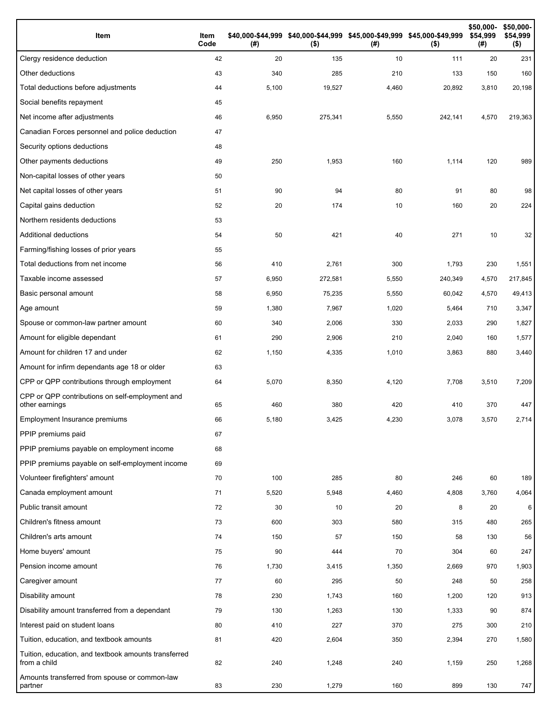| Item                                                                 | Item<br>Code | (# )  | \$40,000-\$44,999 \$40,000-\$44,999 \$45,000-\$49,999 \$45,000-\$49,999<br>$($ \$) | (# )  | $($ \$) | \$50,000-<br>\$54,999<br>(#) | \$50,000-<br>\$54,999<br>$($ \$) |
|----------------------------------------------------------------------|--------------|-------|------------------------------------------------------------------------------------|-------|---------|------------------------------|----------------------------------|
| Clergy residence deduction                                           | 42           | 20    | 135                                                                                | 10    | 111     | 20                           | 231                              |
| Other deductions                                                     | 43           | 340   | 285                                                                                | 210   | 133     | 150                          | 160                              |
| Total deductions before adjustments                                  | 44           | 5,100 | 19,527                                                                             | 4,460 | 20,892  | 3,810                        | 20,198                           |
| Social benefits repayment                                            | 45           |       |                                                                                    |       |         |                              |                                  |
| Net income after adjustments                                         | 46           | 6,950 | 275,341                                                                            | 5,550 | 242,141 | 4,570                        | 219,363                          |
| Canadian Forces personnel and police deduction                       | 47           |       |                                                                                    |       |         |                              |                                  |
| Security options deductions                                          | 48           |       |                                                                                    |       |         |                              |                                  |
| Other payments deductions                                            | 49           | 250   | 1,953                                                                              | 160   | 1,114   | 120                          | 989                              |
| Non-capital losses of other years                                    | 50           |       |                                                                                    |       |         |                              |                                  |
| Net capital losses of other years                                    | 51           | 90    | 94                                                                                 | 80    | 91      | 80                           | 98                               |
| Capital gains deduction                                              | 52           | 20    | 174                                                                                | 10    | 160     | 20                           | 224                              |
| Northern residents deductions                                        | 53           |       |                                                                                    |       |         |                              |                                  |
| Additional deductions                                                | 54           | 50    | 421                                                                                | 40    | 271     | 10                           | 32                               |
| Farming/fishing losses of prior years                                | 55           |       |                                                                                    |       |         |                              |                                  |
| Total deductions from net income                                     | 56           | 410   | 2,761                                                                              | 300   | 1,793   | 230                          | 1,551                            |
| Taxable income assessed                                              | 57           | 6,950 | 272,581                                                                            | 5,550 | 240,349 | 4,570                        | 217,845                          |
| Basic personal amount                                                | 58           | 6,950 | 75,235                                                                             | 5,550 | 60,042  | 4,570                        | 49,413                           |
| Age amount                                                           | 59           | 1,380 | 7,967                                                                              | 1,020 | 5,464   | 710                          | 3,347                            |
| Spouse or common-law partner amount                                  | 60           | 340   | 2,006                                                                              | 330   | 2,033   | 290                          | 1,827                            |
| Amount for eligible dependant                                        | 61           | 290   | 2,906                                                                              | 210   | 2,040   | 160                          | 1,577                            |
| Amount for children 17 and under                                     | 62           | 1,150 | 4,335                                                                              | 1,010 | 3,863   | 880                          | 3,440                            |
| Amount for infirm dependants age 18 or older                         | 63           |       |                                                                                    |       |         |                              |                                  |
| CPP or QPP contributions through employment                          | 64           | 5,070 | 8,350                                                                              | 4,120 | 7,708   | 3,510                        | 7,209                            |
| CPP or QPP contributions on self-employment and<br>other earnings    | 65           | 460   | 380                                                                                | 420   | 410     | 370                          | 447                              |
| Employment Insurance premiums                                        | 66           | 5,180 | 3,425                                                                              | 4,230 | 3,078   | 3,570                        | 2,714                            |
| PPIP premiums paid                                                   | 67           |       |                                                                                    |       |         |                              |                                  |
| PPIP premiums payable on employment income                           | 68           |       |                                                                                    |       |         |                              |                                  |
| PPIP premiums payable on self-employment income                      | 69           |       |                                                                                    |       |         |                              |                                  |
| Volunteer firefighters' amount                                       | 70           | 100   | 285                                                                                | 80    | 246     | 60                           | 189                              |
| Canada employment amount                                             | 71           | 5,520 | 5,948                                                                              | 4,460 | 4,808   | 3,760                        | 4,064                            |
| Public transit amount                                                | 72           | 30    | 10                                                                                 | 20    | 8       | 20                           | 6                                |
| Children's fitness amount                                            | 73           | 600   | 303                                                                                | 580   | 315     | 480                          | 265                              |
| Children's arts amount                                               | 74           | 150   | 57                                                                                 | 150   | 58      | 130                          | 56                               |
| Home buyers' amount                                                  | 75           | 90    | 444                                                                                | 70    | 304     | 60                           | 247                              |
| Pension income amount                                                | 76           | 1,730 | 3,415                                                                              | 1,350 | 2,669   | 970                          | 1,903                            |
| Caregiver amount                                                     | 77           | 60    | 295                                                                                | 50    | 248     | 50                           | 258                              |
| Disability amount                                                    | 78           | 230   | 1,743                                                                              | 160   | 1,200   | 120                          | 913                              |
| Disability amount transferred from a dependant                       | 79           | 130   | 1,263                                                                              | 130   | 1,333   | 90                           | 874                              |
| Interest paid on student loans                                       | 80           | 410   | 227                                                                                | 370   | 275     | 300                          | 210                              |
| Tuition, education, and textbook amounts                             | 81           | 420   | 2,604                                                                              | 350   | 2,394   | 270                          | 1,580                            |
| Tuition, education, and textbook amounts transferred<br>from a child | 82           | 240   | 1,248                                                                              | 240   | 1,159   | 250                          | 1,268                            |
| Amounts transferred from spouse or common-law<br>partner             | 83           | 230   | 1,279                                                                              | 160   | 899     | 130                          | 747                              |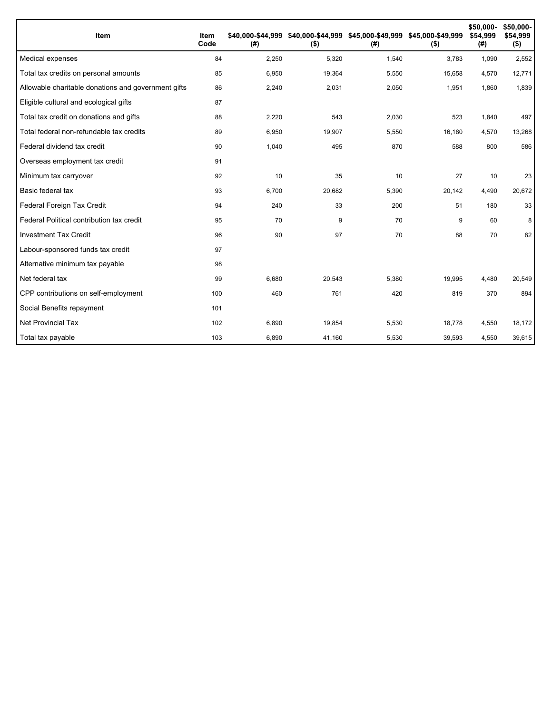| Item                                                | Item<br>Code | (#)   | \$40,000-\$44,999 \$40,000-\$44,999 \$45,000-\$49,999 \$45,000-\$49,999<br>$($ \$) | (# )  | $($ \$) | \$50,000-<br>\$54.999<br>(#) | \$50,000-<br>\$54,999<br>$($ \$) |
|-----------------------------------------------------|--------------|-------|------------------------------------------------------------------------------------|-------|---------|------------------------------|----------------------------------|
| Medical expenses                                    | 84           | 2,250 | 5,320                                                                              | 1,540 | 3,783   | 1,090                        | 2,552                            |
| Total tax credits on personal amounts               | 85           | 6,950 | 19,364                                                                             | 5,550 | 15,658  | 4,570                        | 12,771                           |
| Allowable charitable donations and government gifts | 86           | 2,240 | 2,031                                                                              | 2,050 | 1,951   | 1,860                        | 1,839                            |
| Eligible cultural and ecological gifts              | 87           |       |                                                                                    |       |         |                              |                                  |
| Total tax credit on donations and gifts             | 88           | 2,220 | 543                                                                                | 2,030 | 523     | 1,840                        | 497                              |
| Total federal non-refundable tax credits            | 89           | 6,950 | 19,907                                                                             | 5,550 | 16,180  | 4,570                        | 13,268                           |
| Federal dividend tax credit                         | 90           | 1,040 | 495                                                                                | 870   | 588     | 800                          | 586                              |
| Overseas employment tax credit                      | 91           |       |                                                                                    |       |         |                              |                                  |
| Minimum tax carryover                               | 92           | 10    | 35                                                                                 | 10    | 27      | 10                           | 23                               |
| Basic federal tax                                   | 93           | 6,700 | 20,682                                                                             | 5,390 | 20,142  | 4,490                        | 20,672                           |
| Federal Foreign Tax Credit                          | 94           | 240   | 33                                                                                 | 200   | 51      | 180                          | 33                               |
| Federal Political contribution tax credit           | 95           | 70    | 9                                                                                  | 70    | 9       | 60                           | 8                                |
| <b>Investment Tax Credit</b>                        | 96           | 90    | 97                                                                                 | 70    | 88      | 70                           | 82                               |
| Labour-sponsored funds tax credit                   | 97           |       |                                                                                    |       |         |                              |                                  |
| Alternative minimum tax payable                     | 98           |       |                                                                                    |       |         |                              |                                  |
| Net federal tax                                     | 99           | 6,680 | 20,543                                                                             | 5,380 | 19,995  | 4,480                        | 20,549                           |
| CPP contributions on self-employment                | 100          | 460   | 761                                                                                | 420   | 819     | 370                          | 894                              |
| Social Benefits repayment                           | 101          |       |                                                                                    |       |         |                              |                                  |
| <b>Net Provincial Tax</b>                           | 102          | 6,890 | 19,854                                                                             | 5,530 | 18,778  | 4,550                        | 18,172                           |
| Total tax payable                                   | 103          | 6,890 | 41,160                                                                             | 5,530 | 39,593  | 4,550                        | 39,615                           |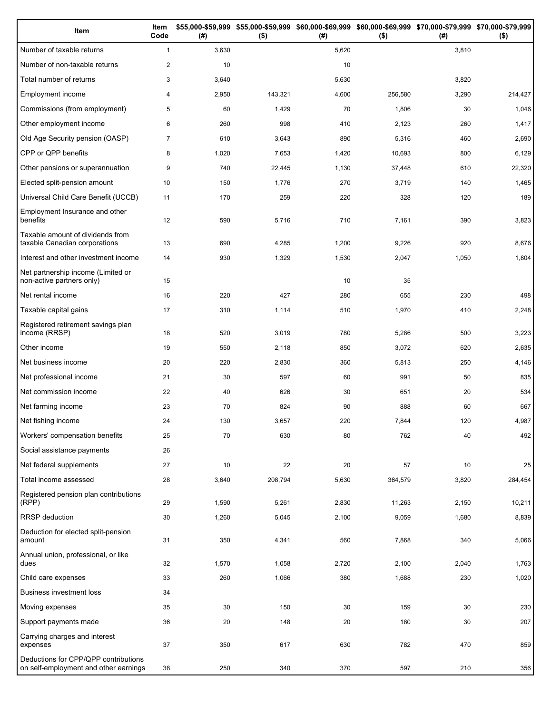| Item                                                                          | Item<br>Code   | (#)   | $($ \$) | (#)   | \$55,000-\$59,999 \$55,000-\$59,999 \$60,000-\$69,999 \$60,000-\$69,999 \$70,000-\$79,999 \$70,000-\$79,999<br>$($ \$) | (#)   | $($ \$) |
|-------------------------------------------------------------------------------|----------------|-------|---------|-------|------------------------------------------------------------------------------------------------------------------------|-------|---------|
| Number of taxable returns                                                     | $\mathbf{1}$   | 3,630 |         | 5,620 |                                                                                                                        | 3,810 |         |
| Number of non-taxable returns                                                 | $\overline{c}$ | 10    |         | 10    |                                                                                                                        |       |         |
| Total number of returns                                                       | 3              | 3,640 |         | 5,630 |                                                                                                                        | 3,820 |         |
| Employment income                                                             | 4              | 2,950 | 143,321 | 4,600 | 256,580                                                                                                                | 3,290 | 214,427 |
| Commissions (from employment)                                                 | 5              | 60    | 1,429   | 70    | 1,806                                                                                                                  | 30    | 1,046   |
| Other employment income                                                       | 6              | 260   | 998     | 410   | 2,123                                                                                                                  | 260   | 1,417   |
| Old Age Security pension (OASP)                                               | $\overline{7}$ | 610   | 3,643   | 890   | 5,316                                                                                                                  | 460   | 2,690   |
| CPP or QPP benefits                                                           | 8              | 1,020 | 7,653   | 1,420 | 10,693                                                                                                                 | 800   | 6,129   |
| Other pensions or superannuation                                              | 9              | 740   | 22,445  | 1,130 | 37,448                                                                                                                 | 610   | 22,320  |
| Elected split-pension amount                                                  | 10             | 150   | 1,776   | 270   | 3,719                                                                                                                  | 140   | 1,465   |
| Universal Child Care Benefit (UCCB)                                           | 11             | 170   | 259     | 220   | 328                                                                                                                    | 120   | 189     |
| Employment Insurance and other<br>benefits                                    | 12             | 590   | 5,716   | 710   | 7,161                                                                                                                  | 390   | 3,823   |
| Taxable amount of dividends from<br>taxable Canadian corporations             | 13             | 690   | 4,285   | 1,200 | 9,226                                                                                                                  | 920   | 8,676   |
| Interest and other investment income                                          | 14             | 930   | 1,329   | 1,530 | 2,047                                                                                                                  | 1,050 | 1,804   |
| Net partnership income (Limited or<br>non-active partners only)               | 15             |       |         | 10    | 35                                                                                                                     |       |         |
| Net rental income                                                             | 16             | 220   | 427     | 280   | 655                                                                                                                    | 230   | 498     |
| Taxable capital gains                                                         | 17             | 310   | 1,114   | 510   | 1,970                                                                                                                  | 410   | 2,248   |
| Registered retirement savings plan<br>income (RRSP)                           | 18             | 520   | 3,019   | 780   | 5,286                                                                                                                  | 500   | 3,223   |
| Other income                                                                  | 19             | 550   | 2,118   | 850   | 3,072                                                                                                                  | 620   | 2,635   |
| Net business income                                                           | 20             | 220   | 2,830   | 360   | 5,813                                                                                                                  | 250   | 4,146   |
| Net professional income                                                       | 21             | 30    | 597     | 60    | 991                                                                                                                    | 50    | 835     |
| Net commission income                                                         | 22             | 40    | 626     | 30    | 651                                                                                                                    | 20    | 534     |
| Net farming income                                                            | 23             | 70    | 824     | 90    | 888                                                                                                                    | 60    | 667     |
| Net fishing income                                                            | 24             | 130   | 3,657   | 220   | 7,844                                                                                                                  | 120   | 4,987   |
| Workers' compensation benefits                                                | 25             | 70    | 630     | 80    | 762                                                                                                                    | 40    | 492     |
| Social assistance payments                                                    | 26             |       |         |       |                                                                                                                        |       |         |
| Net federal supplements                                                       | 27             | 10    | 22      | 20    | 57                                                                                                                     | 10    | 25      |
| Total income assessed                                                         | 28             | 3,640 | 208,794 | 5,630 | 364,579                                                                                                                | 3,820 | 284,454 |
| Registered pension plan contributions<br>(RPP)                                | 29             | 1,590 | 5,261   | 2,830 | 11,263                                                                                                                 | 2,150 | 10,211  |
| RRSP deduction                                                                | 30             | 1,260 | 5,045   | 2,100 | 9,059                                                                                                                  | 1,680 | 8,839   |
| Deduction for elected split-pension<br>amount                                 | 31             | 350   | 4,341   | 560   | 7,868                                                                                                                  | 340   | 5,066   |
| Annual union, professional, or like<br>dues                                   | 32             | 1,570 | 1,058   | 2,720 | 2,100                                                                                                                  | 2,040 | 1,763   |
| Child care expenses                                                           | 33             | 260   | 1,066   | 380   | 1,688                                                                                                                  | 230   | 1,020   |
| <b>Business investment loss</b>                                               | 34             |       |         |       |                                                                                                                        |       |         |
| Moving expenses                                                               | 35             | 30    | 150     | 30    | 159                                                                                                                    | 30    | 230     |
| Support payments made                                                         | 36             | 20    | 148     | 20    | 180                                                                                                                    | 30    | 207     |
| Carrying charges and interest<br>expenses                                     | 37             | 350   | 617     | 630   | 782                                                                                                                    | 470   | 859     |
| Deductions for CPP/QPP contributions<br>on self-employment and other earnings | 38             | 250   | 340     | 370   | 597                                                                                                                    | 210   | 356     |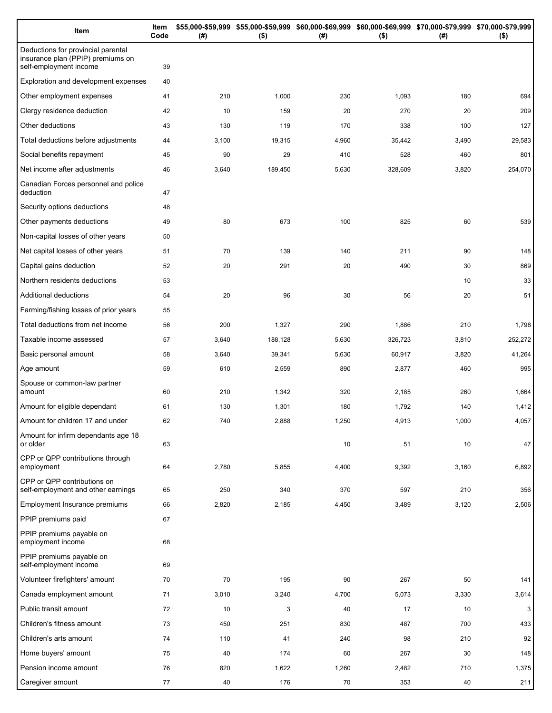| Item                                                                                              | Item<br>Code | (# )  | \$55,000-\$59,999 \$55,000-\$59,999 \$60,000-\$69,999 \$60,000-\$69,999 \$70,000-\$79,999 \$70,000-\$79,999<br>$($ \$) | (# )  | $($ \$) | (# )  | $($ \$) |
|---------------------------------------------------------------------------------------------------|--------------|-------|------------------------------------------------------------------------------------------------------------------------|-------|---------|-------|---------|
| Deductions for provincial parental<br>insurance plan (PPIP) premiums on<br>self-employment income | 39           |       |                                                                                                                        |       |         |       |         |
| Exploration and development expenses                                                              | 40           |       |                                                                                                                        |       |         |       |         |
| Other employment expenses                                                                         | 41           | 210   | 1,000                                                                                                                  | 230   | 1,093   | 180   | 694     |
| Clergy residence deduction                                                                        | 42           | 10    | 159                                                                                                                    | 20    | 270     | 20    | 209     |
| Other deductions                                                                                  | 43           | 130   | 119                                                                                                                    | 170   | 338     | 100   | 127     |
| Total deductions before adjustments                                                               | 44           | 3,100 | 19,315                                                                                                                 | 4,960 | 35,442  | 3,490 | 29,583  |
| Social benefits repayment                                                                         | 45           | 90    | 29                                                                                                                     | 410   | 528     | 460   | 801     |
| Net income after adjustments                                                                      | 46           | 3,640 | 189,450                                                                                                                | 5,630 | 328,609 | 3,820 | 254,070 |
| Canadian Forces personnel and police<br>deduction                                                 | 47           |       |                                                                                                                        |       |         |       |         |
| Security options deductions                                                                       | 48           |       |                                                                                                                        |       |         |       |         |
| Other payments deductions                                                                         | 49           | 80    | 673                                                                                                                    | 100   | 825     | 60    | 539     |
| Non-capital losses of other years                                                                 | 50           |       |                                                                                                                        |       |         |       |         |
| Net capital losses of other years                                                                 | 51           | 70    | 139                                                                                                                    | 140   | 211     | 90    | 148     |
| Capital gains deduction                                                                           | 52           | 20    | 291                                                                                                                    | 20    | 490     | 30    | 869     |
| Northern residents deductions                                                                     | 53           |       |                                                                                                                        |       |         | 10    | 33      |
| Additional deductions                                                                             | 54           | 20    | 96                                                                                                                     | 30    | 56      | 20    | 51      |
| Farming/fishing losses of prior years                                                             | 55           |       |                                                                                                                        |       |         |       |         |
| Total deductions from net income                                                                  | 56           | 200   | 1,327                                                                                                                  | 290   | 1,886   | 210   | 1,798   |
| Taxable income assessed                                                                           | 57           | 3,640 | 188,128                                                                                                                | 5,630 | 326,723 | 3,810 | 252,272 |
| Basic personal amount                                                                             | 58           | 3,640 | 39,341                                                                                                                 | 5,630 | 60,917  | 3,820 | 41,264  |
| Age amount                                                                                        | 59           | 610   | 2,559                                                                                                                  | 890   | 2,877   | 460   | 995     |
| Spouse or common-law partner<br>amount                                                            | 60           | 210   | 1,342                                                                                                                  | 320   | 2,185   | 260   | 1,664   |
| Amount for eligible dependant                                                                     | 61           | 130   | 1,301                                                                                                                  | 180   | 1,792   | 140   | 1,412   |
| Amount for children 17 and under                                                                  | 62           | 740   | 2,888                                                                                                                  | 1,250 | 4,913   | 1,000 | 4,057   |
| Amount for infirm dependants age 18<br>or older                                                   | 63           |       |                                                                                                                        | 10    | 51      | 10    | 47      |
| CPP or QPP contributions through<br>employment                                                    | 64           | 2,780 | 5,855                                                                                                                  | 4,400 | 9,392   | 3,160 | 6,892   |
| CPP or QPP contributions on<br>self-employment and other earnings                                 | 65           | 250   | 340                                                                                                                    | 370   | 597     | 210   | 356     |
| Employment Insurance premiums                                                                     | 66           | 2,820 | 2,185                                                                                                                  | 4,450 | 3,489   | 3,120 | 2,506   |
| PPIP premiums paid                                                                                | 67           |       |                                                                                                                        |       |         |       |         |
| PPIP premiums payable on<br>employment income                                                     | 68           |       |                                                                                                                        |       |         |       |         |
| PPIP premiums payable on<br>self-employment income                                                | 69           |       |                                                                                                                        |       |         |       |         |
| Volunteer firefighters' amount                                                                    | 70           | 70    | 195                                                                                                                    | 90    | 267     | 50    | 141     |
| Canada employment amount                                                                          | 71           | 3,010 | 3,240                                                                                                                  | 4,700 | 5,073   | 3,330 | 3,614   |
| Public transit amount                                                                             | 72           | 10    | 3                                                                                                                      | 40    | 17      | 10    | 3       |
| Children's fitness amount                                                                         | 73           | 450   | 251                                                                                                                    | 830   | 487     | 700   | 433     |
| Children's arts amount                                                                            | 74           | 110   | 41                                                                                                                     | 240   | 98      | 210   | 92      |
| Home buyers' amount                                                                               | 75           | 40    | 174                                                                                                                    | 60    | 267     | 30    | 148     |
| Pension income amount                                                                             | 76           | 820   | 1,622                                                                                                                  | 1,260 | 2,482   | 710   | 1,375   |
| Caregiver amount                                                                                  | 77           | 40    | 176                                                                                                                    | 70    | 353     | 40    | 211     |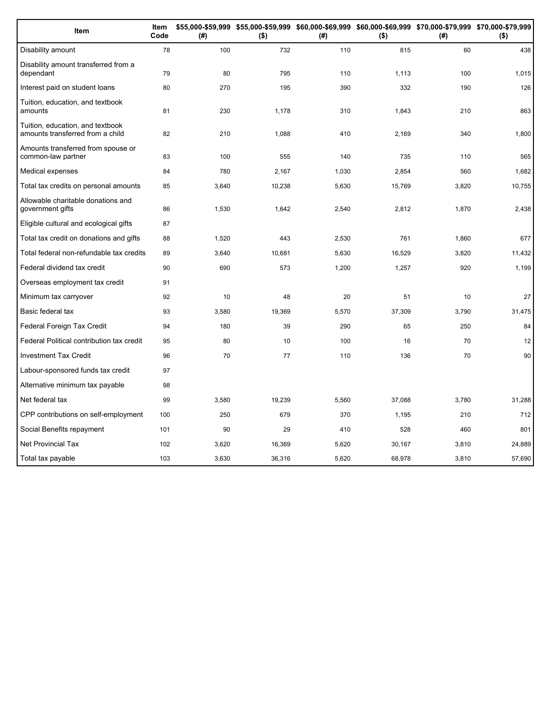| Item                                                                 | Item<br>Code | (# )  | \$55,000-\$59,999 \$55,000-\$59,999 \$60,000-\$69,999 \$60,000-\$69,999 \$70,000-\$79,999 \$70,000-\$79,999<br>$($ \$) | (#)   | $($ \$) | (#)   | $($ \$) |
|----------------------------------------------------------------------|--------------|-------|------------------------------------------------------------------------------------------------------------------------|-------|---------|-------|---------|
| Disability amount                                                    | 78           | 100   | 732                                                                                                                    | 110   | 815     | 60    | 438     |
| Disability amount transferred from a<br>dependant                    | 79           | 80    | 795                                                                                                                    | 110   | 1,113   | 100   | 1,015   |
| Interest paid on student loans                                       | 80           | 270   | 195                                                                                                                    | 390   | 332     | 190   | 126     |
| Tuition, education, and textbook<br>amounts                          | 81           | 230   | 1,178                                                                                                                  | 310   | 1,843   | 210   | 863     |
| Tuition, education, and textbook<br>amounts transferred from a child | 82           | 210   | 1,088                                                                                                                  | 410   | 2,169   | 340   | 1,800   |
| Amounts transferred from spouse or<br>common-law partner             | 83           | 100   | 555                                                                                                                    | 140   | 735     | 110   | 565     |
| Medical expenses                                                     | 84           | 780   | 2,167                                                                                                                  | 1,030 | 2,854   | 560   | 1,682   |
| Total tax credits on personal amounts                                | 85           | 3,640 | 10,238                                                                                                                 | 5,630 | 15,769  | 3,820 | 10,755  |
| Allowable charitable donations and<br>government gifts               | 86           | 1,530 | 1,642                                                                                                                  | 2,540 | 2,812   | 1,870 | 2,438   |
| Eligible cultural and ecological gifts                               | 87           |       |                                                                                                                        |       |         |       |         |
| Total tax credit on donations and gifts                              | 88           | 1,520 | 443                                                                                                                    | 2,530 | 761     | 1,860 | 677     |
| Total federal non-refundable tax credits                             | 89           | 3,640 | 10,681                                                                                                                 | 5,630 | 16,529  | 3,820 | 11,432  |
| Federal dividend tax credit                                          | 90           | 690   | 573                                                                                                                    | 1,200 | 1,257   | 920   | 1,199   |
| Overseas employment tax credit                                       | 91           |       |                                                                                                                        |       |         |       |         |
| Minimum tax carryover                                                | 92           | 10    | 48                                                                                                                     | 20    | 51      | 10    | 27      |
| Basic federal tax                                                    | 93           | 3,580 | 19,369                                                                                                                 | 5,570 | 37,309  | 3,790 | 31,475  |
| Federal Foreign Tax Credit                                           | 94           | 180   | 39                                                                                                                     | 290   | 65      | 250   | 84      |
| Federal Political contribution tax credit                            | 95           | 80    | 10                                                                                                                     | 100   | 16      | 70    | 12      |
| <b>Investment Tax Credit</b>                                         | 96           | 70    | 77                                                                                                                     | 110   | 136     | 70    | 90      |
| Labour-sponsored funds tax credit                                    | 97           |       |                                                                                                                        |       |         |       |         |
| Alternative minimum tax payable                                      | 98           |       |                                                                                                                        |       |         |       |         |
| Net federal tax                                                      | 99           | 3,580 | 19,239                                                                                                                 | 5,560 | 37,088  | 3,780 | 31,288  |
| CPP contributions on self-employment                                 | 100          | 250   | 679                                                                                                                    | 370   | 1,195   | 210   | 712     |
| Social Benefits repayment                                            | 101          | 90    | 29                                                                                                                     | 410   | 528     | 460   | 801     |
| <b>Net Provincial Tax</b>                                            | 102          | 3,620 | 16,369                                                                                                                 | 5,620 | 30,167  | 3,810 | 24,889  |
| Total tax payable                                                    | 103          | 3,630 | 36,316                                                                                                                 | 5,620 | 68,978  | 3,810 | 57,690  |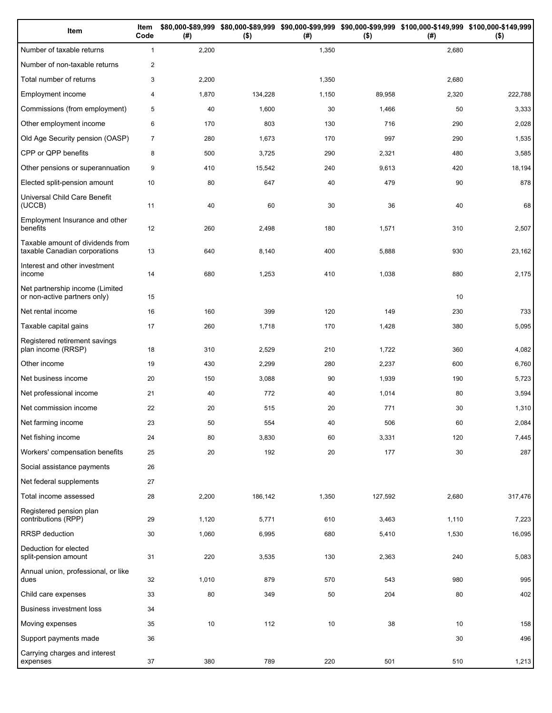| Item                                                              | Item<br>Code   | (# )  | $($ \$) | (#)   | $($ \$) | \$80,000-\$89,999 \$80,000-\$89,999 \$90,000-\$99,999 \$90,000-\$99,999 \$100,000-\$149,999 \$100,000-\$149,999<br>(# ) | $($ \$) |
|-------------------------------------------------------------------|----------------|-------|---------|-------|---------|-------------------------------------------------------------------------------------------------------------------------|---------|
| Number of taxable returns                                         | $\mathbf{1}$   | 2,200 |         | 1,350 |         | 2,680                                                                                                                   |         |
| Number of non-taxable returns                                     | 2              |       |         |       |         |                                                                                                                         |         |
| Total number of returns                                           | 3              | 2,200 |         | 1,350 |         | 2,680                                                                                                                   |         |
| Employment income                                                 | $\overline{4}$ | 1,870 | 134,228 | 1,150 | 89,958  | 2,320                                                                                                                   | 222,788 |
| Commissions (from employment)                                     | 5              | 40    | 1,600   | 30    | 1,466   | 50                                                                                                                      | 3,333   |
| Other employment income                                           | 6              | 170   | 803     | 130   | 716     | 290                                                                                                                     | 2,028   |
| Old Age Security pension (OASP)                                   | $\overline{7}$ | 280   | 1,673   | 170   | 997     | 290                                                                                                                     | 1,535   |
| CPP or QPP benefits                                               | 8              | 500   | 3,725   | 290   | 2,321   | 480                                                                                                                     | 3,585   |
| Other pensions or superannuation                                  | 9              | 410   | 15,542  | 240   | 9,613   | 420                                                                                                                     | 18,194  |
| Elected split-pension amount                                      | 10             | 80    | 647     | 40    | 479     | 90                                                                                                                      | 878     |
| Universal Child Care Benefit<br>(UCCB)                            | 11             | 40    | 60      | 30    | 36      | 40                                                                                                                      | 68      |
| Employment Insurance and other<br>benefits                        | 12             | 260   | 2,498   | 180   | 1,571   | 310                                                                                                                     | 2,507   |
| Taxable amount of dividends from<br>taxable Canadian corporations | 13             | 640   | 8,140   | 400   | 5,888   | 930                                                                                                                     | 23,162  |
| Interest and other investment<br>income                           | 14             | 680   | 1,253   | 410   | 1,038   | 880                                                                                                                     | 2,175   |
| Net partnership income (Limited<br>or non-active partners only)   | 15             |       |         |       |         | 10                                                                                                                      |         |
| Net rental income                                                 | 16             | 160   | 399     | 120   | 149     | 230                                                                                                                     | 733     |
| Taxable capital gains                                             | 17             | 260   | 1,718   | 170   | 1,428   | 380                                                                                                                     | 5,095   |
| Registered retirement savings<br>plan income (RRSP)               | 18             | 310   | 2,529   | 210   | 1,722   | 360                                                                                                                     | 4,082   |
| Other income                                                      | 19             | 430   | 2,299   | 280   | 2,237   | 600                                                                                                                     | 6,760   |
| Net business income                                               | 20             | 150   | 3,088   | 90    | 1,939   | 190                                                                                                                     | 5,723   |
| Net professional income                                           | 21             | 40    | 772     | 40    | 1,014   | 80                                                                                                                      | 3,594   |
| Net commission income                                             | 22             | 20    | 515     | 20    | 771     | 30                                                                                                                      | 1,310   |
| Net farming income                                                | 23             | 50    | 554     | 40    | 506     | 60                                                                                                                      | 2,084   |
| Net fishing income                                                | 24             | 80    | 3,830   | 60    | 3,331   | 120                                                                                                                     | 7,445   |
| Workers' compensation benefits                                    | 25             | 20    | 192     | 20    | 177     | 30                                                                                                                      | 287     |
| Social assistance payments                                        | 26             |       |         |       |         |                                                                                                                         |         |
| Net federal supplements                                           | 27             |       |         |       |         |                                                                                                                         |         |
| Total income assessed                                             | 28             | 2,200 | 186,142 | 1,350 | 127,592 | 2,680                                                                                                                   | 317,476 |
| Registered pension plan<br>contributions (RPP)                    | 29             | 1,120 | 5,771   | 610   | 3,463   | 1,110                                                                                                                   | 7,223   |
| RRSP deduction                                                    | 30             | 1,060 | 6,995   | 680   | 5,410   | 1,530                                                                                                                   | 16,095  |
| Deduction for elected<br>split-pension amount                     | 31             | 220   | 3,535   | 130   | 2,363   | 240                                                                                                                     | 5,083   |
| Annual union, professional, or like<br>dues                       | 32             | 1,010 | 879     | 570   | 543     | 980                                                                                                                     | 995     |
| Child care expenses                                               | 33             | 80    | 349     | 50    | 204     | 80                                                                                                                      | 402     |
| Business investment loss                                          | 34             |       |         |       |         |                                                                                                                         |         |
| Moving expenses                                                   | 35             | 10    | 112     | 10    | 38      | 10                                                                                                                      | 158     |
| Support payments made                                             | 36             |       |         |       |         | 30                                                                                                                      | 496     |
| Carrying charges and interest<br>expenses                         | 37             | 380   | 789     | 220   | 501     | 510                                                                                                                     | 1,213   |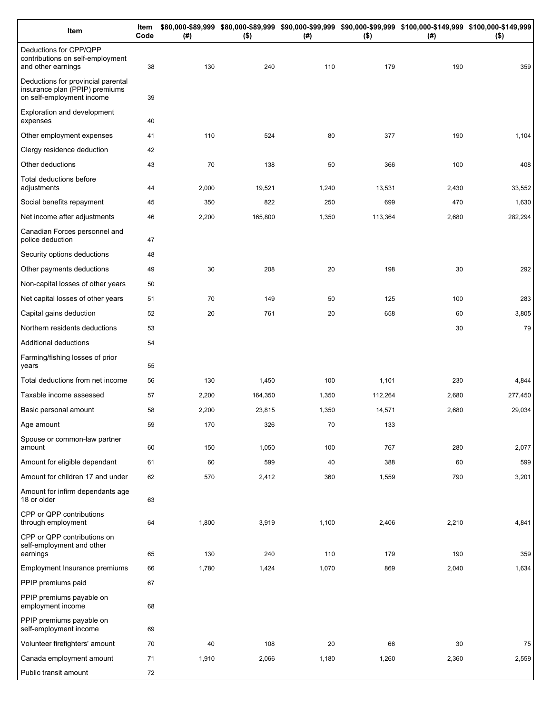| Item                                                                                              | Item<br>Code | (#)   | $($ \$) | (# )  | $($ \$) | \$80,000-\$89,999 \$80,000-\$89,999 \$90,000-\$99,999 \$90,000-\$99,999 \$100,000-\$149,999 \$100,000-\$149,999<br>(#) | $($ \$) |
|---------------------------------------------------------------------------------------------------|--------------|-------|---------|-------|---------|------------------------------------------------------------------------------------------------------------------------|---------|
| Deductions for CPP/QPP<br>contributions on self-employment<br>and other earnings                  | 38           | 130   | 240     | 110   | 179     | 190                                                                                                                    | 359     |
| Deductions for provincial parental<br>insurance plan (PPIP) premiums<br>on self-employment income | 39           |       |         |       |         |                                                                                                                        |         |
| Exploration and development<br>expenses                                                           | 40           |       |         |       |         |                                                                                                                        |         |
| Other employment expenses                                                                         | 41           | 110   | 524     | 80    | 377     | 190                                                                                                                    | 1,104   |
| Clergy residence deduction                                                                        | 42           |       |         |       |         |                                                                                                                        |         |
| Other deductions                                                                                  | 43           | 70    | 138     | 50    | 366     | 100                                                                                                                    | 408     |
| Total deductions before<br>adjustments                                                            | 44           | 2,000 | 19,521  | 1,240 | 13,531  | 2,430                                                                                                                  | 33,552  |
| Social benefits repayment                                                                         | 45           | 350   | 822     | 250   | 699     | 470                                                                                                                    | 1,630   |
| Net income after adjustments                                                                      | 46           | 2,200 | 165,800 | 1,350 | 113,364 | 2,680                                                                                                                  | 282,294 |
| Canadian Forces personnel and<br>police deduction                                                 | 47           |       |         |       |         |                                                                                                                        |         |
| Security options deductions                                                                       | 48           |       |         |       |         |                                                                                                                        |         |
| Other payments deductions                                                                         | 49           | 30    | 208     | 20    | 198     | 30                                                                                                                     | 292     |
| Non-capital losses of other years                                                                 | 50           |       |         |       |         |                                                                                                                        |         |
| Net capital losses of other years                                                                 | 51           | 70    | 149     | 50    | 125     | 100                                                                                                                    | 283     |
| Capital gains deduction                                                                           | 52           | 20    | 761     | 20    | 658     | 60                                                                                                                     | 3,805   |
| Northern residents deductions                                                                     | 53           |       |         |       |         | 30                                                                                                                     | 79      |
| Additional deductions                                                                             | 54           |       |         |       |         |                                                                                                                        |         |
| Farming/fishing losses of prior<br>years                                                          | 55           |       |         |       |         |                                                                                                                        |         |
| Total deductions from net income                                                                  | 56           | 130   | 1,450   | 100   | 1,101   | 230                                                                                                                    | 4,844   |
| Taxable income assessed                                                                           | 57           | 2,200 | 164,350 | 1,350 | 112,264 | 2,680                                                                                                                  | 277,450 |
| Basic personal amount                                                                             | 58           | 2,200 | 23,815  | 1,350 | 14,571  | 2,680                                                                                                                  | 29,034  |
| Age amount                                                                                        | 59           | 170   | 326     | 70    | 133     |                                                                                                                        |         |
| Spouse or common-law partner<br>amount                                                            | 60           | 150   | 1,050   | 100   | 767     | 280                                                                                                                    | 2,077   |
| Amount for eligible dependant                                                                     | 61           | 60    | 599     | 40    | 388     | 60                                                                                                                     | 599     |
| Amount for children 17 and under                                                                  | 62           | 570   | 2,412   | 360   | 1,559   | 790                                                                                                                    | 3,201   |
| Amount for infirm dependants age<br>18 or older                                                   | 63           |       |         |       |         |                                                                                                                        |         |
| CPP or QPP contributions<br>through employment                                                    | 64           | 1,800 | 3,919   | 1,100 | 2,406   | 2,210                                                                                                                  | 4,841   |
| CPP or QPP contributions on<br>self-employment and other                                          |              |       |         |       |         |                                                                                                                        |         |
| earnings<br>Employment Insurance premiums                                                         | 65           | 130   | 240     | 110   | 179     | 190                                                                                                                    | 359     |
| PPIP premiums paid                                                                                | 66           | 1,780 | 1,424   | 1,070 | 869     | 2,040                                                                                                                  | 1,634   |
| PPIP premiums payable on                                                                          | 67           |       |         |       |         |                                                                                                                        |         |
| employment income                                                                                 | 68           |       |         |       |         |                                                                                                                        |         |
| PPIP premiums payable on<br>self-employment income                                                | 69           |       |         |       |         |                                                                                                                        |         |
| Volunteer firefighters' amount                                                                    | 70           | 40    | 108     | 20    | 66      | 30                                                                                                                     | 75      |
| Canada employment amount                                                                          | 71           | 1,910 | 2,066   | 1,180 | 1,260   | 2,360                                                                                                                  | 2,559   |
| Public transit amount                                                                             | 72           |       |         |       |         |                                                                                                                        |         |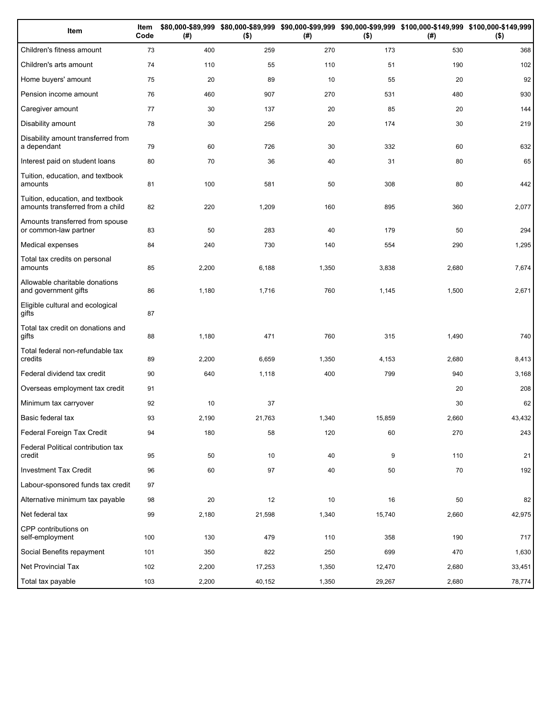| Item                                                                 | Item<br>Code | (# )  | $($ \$) | (#)   | $($ \$) | \$80,000-\$89,999 \$80,000-\$89,999 \$90,000-\$99,999 \$90,000-\$99,999 \$100,000-\$149,999 \$100,000-\$149,999<br>(#) | $($ \$) |
|----------------------------------------------------------------------|--------------|-------|---------|-------|---------|------------------------------------------------------------------------------------------------------------------------|---------|
| Children's fitness amount                                            | 73           | 400   | 259     | 270   | 173     | 530                                                                                                                    | 368     |
| Children's arts amount                                               | 74           | 110   | 55      | 110   | 51      | 190                                                                                                                    | 102     |
| Home buyers' amount                                                  | 75           | 20    | 89      | 10    | 55      | 20                                                                                                                     | 92      |
| Pension income amount                                                | 76           | 460   | 907     | 270   | 531     | 480                                                                                                                    | 930     |
| Caregiver amount                                                     | 77           | 30    | 137     | 20    | 85      | 20                                                                                                                     | 144     |
| Disability amount                                                    | 78           | 30    | 256     | 20    | 174     | 30                                                                                                                     | 219     |
| Disability amount transferred from<br>a dependant                    | 79           | 60    | 726     | 30    | 332     | 60                                                                                                                     | 632     |
| Interest paid on student loans                                       | 80           | 70    | 36      | 40    | 31      | 80                                                                                                                     | 65      |
| Tuition, education, and textbook<br>amounts                          | 81           | 100   | 581     | 50    | 308     | 80                                                                                                                     | 442     |
| Tuition, education, and textbook<br>amounts transferred from a child | 82           | 220   | 1,209   | 160   | 895     | 360                                                                                                                    | 2,077   |
| Amounts transferred from spouse<br>or common-law partner             | 83           | 50    | 283     | 40    | 179     | 50                                                                                                                     | 294     |
| Medical expenses                                                     | 84           | 240   | 730     | 140   | 554     | 290                                                                                                                    | 1,295   |
| Total tax credits on personal<br>amounts                             | 85           | 2,200 | 6,188   | 1,350 | 3,838   | 2,680                                                                                                                  | 7,674   |
| Allowable charitable donations<br>and government gifts               | 86           | 1,180 | 1,716   | 760   | 1,145   | 1,500                                                                                                                  | 2,671   |
| Eligible cultural and ecological<br>gifts                            | 87           |       |         |       |         |                                                                                                                        |         |
| Total tax credit on donations and<br>gifts                           | 88           | 1,180 | 471     | 760   | 315     | 1,490                                                                                                                  | 740     |
| Total federal non-refundable tax<br>credits                          | 89           | 2,200 | 6,659   | 1,350 | 4,153   | 2,680                                                                                                                  | 8,413   |
| Federal dividend tax credit                                          | 90           | 640   | 1,118   | 400   | 799     | 940                                                                                                                    | 3,168   |
| Overseas employment tax credit                                       | 91           |       |         |       |         | 20                                                                                                                     | 208     |
| Minimum tax carryover                                                | 92           | 10    | 37      |       |         | 30                                                                                                                     | 62      |
| Basic federal tax                                                    | 93           | 2,190 | 21,763  | 1,340 | 15,859  | 2,660                                                                                                                  | 43,432  |
| Federal Foreign Tax Credit                                           | 94           | 180   | 58      | 120   | 60      | 270                                                                                                                    | 243     |
| Federal Political contribution tax<br>credit                         | 95           | 50    | 10      | 40    | 9       | 110                                                                                                                    | 21      |
| <b>Investment Tax Credit</b>                                         | 96           | 60    | 97      | 40    | 50      | 70                                                                                                                     | 192     |
| Labour-sponsored funds tax credit                                    | 97           |       |         |       |         |                                                                                                                        |         |
| Alternative minimum tax payable                                      | 98           | 20    | 12      | 10    | 16      | 50                                                                                                                     | 82      |
| Net federal tax                                                      | 99           | 2,180 | 21,598  | 1,340 | 15,740  | 2,660                                                                                                                  | 42,975  |
| CPP contributions on<br>self-employment                              | 100          | 130   | 479     | 110   | 358     | 190                                                                                                                    | 717     |
| Social Benefits repayment                                            | 101          | 350   | 822     | 250   | 699     | 470                                                                                                                    | 1,630   |
| Net Provincial Tax                                                   | 102          | 2,200 | 17,253  | 1,350 | 12,470  | 2,680                                                                                                                  | 33,451  |
| Total tax payable                                                    | 103          | 2,200 | 40,152  | 1,350 | 29,267  | 2,680                                                                                                                  | 78,774  |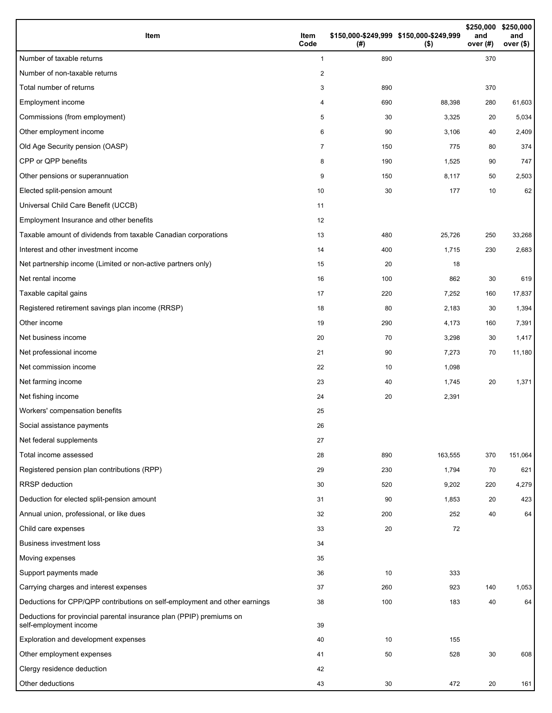| Item                                                                                           | Item<br>Code | (#) | \$150,000-\$249,999 \$150,000-\$249,999<br>$($ \$) | \$250,000<br>and<br>over (#) | \$250,000<br>and<br>over (\$) |
|------------------------------------------------------------------------------------------------|--------------|-----|----------------------------------------------------|------------------------------|-------------------------------|
| Number of taxable returns                                                                      | $\mathbf{1}$ | 890 |                                                    | 370                          |                               |
| Number of non-taxable returns                                                                  | 2            |     |                                                    |                              |                               |
| Total number of returns                                                                        | 3            | 890 |                                                    | 370                          |                               |
| Employment income                                                                              | 4            | 690 | 88,398                                             | 280                          | 61,603                        |
| Commissions (from employment)                                                                  | 5            | 30  | 3,325                                              | 20                           | 5,034                         |
| Other employment income                                                                        | 6            | 90  | 3,106                                              | 40                           | 2,409                         |
| Old Age Security pension (OASP)                                                                | 7            | 150 | 775                                                | 80                           | 374                           |
| CPP or QPP benefits                                                                            | 8            | 190 | 1,525                                              | 90                           | 747                           |
| Other pensions or superannuation                                                               | 9            | 150 | 8,117                                              | 50                           | 2,503                         |
| Elected split-pension amount                                                                   | 10           | 30  | 177                                                | 10                           | 62                            |
| Universal Child Care Benefit (UCCB)                                                            | 11           |     |                                                    |                              |                               |
| Employment Insurance and other benefits                                                        | 12           |     |                                                    |                              |                               |
| Taxable amount of dividends from taxable Canadian corporations                                 | 13           | 480 | 25,726                                             | 250                          | 33,268                        |
| Interest and other investment income                                                           | 14           | 400 | 1,715                                              | 230                          | 2,683                         |
| Net partnership income (Limited or non-active partners only)                                   | 15           | 20  | 18                                                 |                              |                               |
| Net rental income                                                                              | 16           | 100 | 862                                                | 30                           | 619                           |
| Taxable capital gains                                                                          | 17           | 220 | 7,252                                              | 160                          | 17,837                        |
| Registered retirement savings plan income (RRSP)                                               | 18           | 80  | 2,183                                              | 30                           | 1,394                         |
| Other income                                                                                   | 19           | 290 | 4,173                                              | 160                          | 7,391                         |
| Net business income                                                                            | 20           | 70  | 3,298                                              | 30                           | 1,417                         |
| Net professional income                                                                        | 21           | 90  | 7,273                                              | 70                           | 11,180                        |
| Net commission income                                                                          | 22           | 10  | 1,098                                              |                              |                               |
| Net farming income                                                                             | 23           | 40  | 1,745                                              | 20                           | 1,371                         |
| Net fishing income                                                                             | 24           | 20  | 2,391                                              |                              |                               |
| Workers' compensation benefits                                                                 | 25           |     |                                                    |                              |                               |
| Social assistance payments                                                                     | 26           |     |                                                    |                              |                               |
| Net federal supplements                                                                        | 27           |     |                                                    |                              |                               |
| Total income assessed                                                                          | 28           | 890 | 163,555                                            | 370                          | 151,064                       |
| Registered pension plan contributions (RPP)                                                    | 29           | 230 | 1,794                                              | 70                           | 621                           |
| <b>RRSP</b> deduction                                                                          | 30           | 520 | 9,202                                              | 220                          | 4,279                         |
| Deduction for elected split-pension amount                                                     | 31           | 90  | 1,853                                              | 20                           | 423                           |
| Annual union, professional, or like dues                                                       | 32           | 200 | 252                                                | 40                           | 64                            |
| Child care expenses                                                                            | 33           | 20  | 72                                                 |                              |                               |
| <b>Business investment loss</b>                                                                | 34           |     |                                                    |                              |                               |
| Moving expenses                                                                                | 35           |     |                                                    |                              |                               |
| Support payments made                                                                          | 36           | 10  | 333                                                |                              |                               |
| Carrying charges and interest expenses                                                         | 37           | 260 | 923                                                | 140                          | 1,053                         |
| Deductions for CPP/QPP contributions on self-employment and other earnings                     | 38           | 100 | 183                                                | 40                           | 64                            |
| Deductions for provincial parental insurance plan (PPIP) premiums on<br>self-employment income | 39           |     |                                                    |                              |                               |
| Exploration and development expenses                                                           | 40           | 10  | 155                                                |                              |                               |
| Other employment expenses                                                                      | 41           | 50  | 528                                                | 30                           | 608                           |
| Clergy residence deduction                                                                     | 42           |     |                                                    |                              |                               |
| Other deductions                                                                               | 43           | 30  | 472                                                | 20                           | 161                           |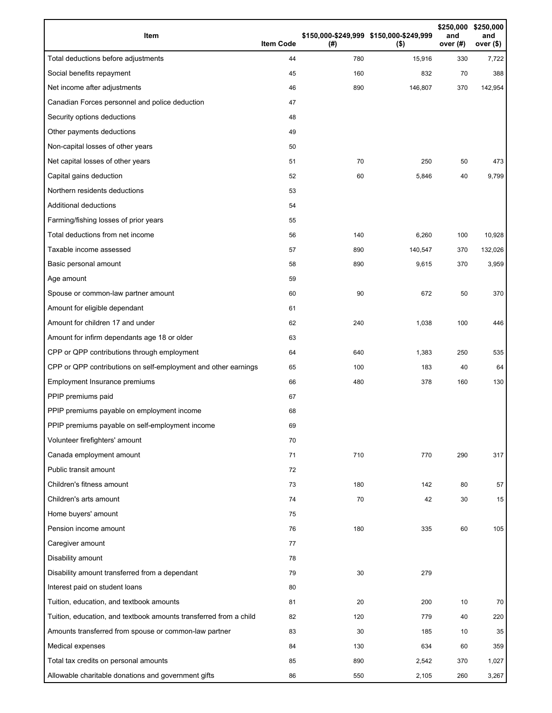| Item                                                              | <b>Item Code</b> | (# ) | \$150,000-\$249,999 \$150,000-\$249,999<br>$($ \$) | \$250,000<br>and<br>over (#) | \$250,000<br>and<br>over <sub>(</sub> |
|-------------------------------------------------------------------|------------------|------|----------------------------------------------------|------------------------------|---------------------------------------|
| Total deductions before adjustments                               | 44               | 780  | 15,916                                             | 330                          | 7,722                                 |
| Social benefits repayment                                         | 45               | 160  | 832                                                | 70                           | 388                                   |
| Net income after adjustments                                      | 46               | 890  | 146,807                                            | 370                          | 142,954                               |
| Canadian Forces personnel and police deduction                    | 47               |      |                                                    |                              |                                       |
| Security options deductions                                       | 48               |      |                                                    |                              |                                       |
| Other payments deductions                                         | 49               |      |                                                    |                              |                                       |
| Non-capital losses of other years                                 | 50               |      |                                                    |                              |                                       |
| Net capital losses of other years                                 | 51               | 70   | 250                                                | 50                           | 473                                   |
| Capital gains deduction                                           | 52               | 60   | 5,846                                              | 40                           | 9,799                                 |
| Northern residents deductions                                     | 53               |      |                                                    |                              |                                       |
| <b>Additional deductions</b>                                      | 54               |      |                                                    |                              |                                       |
| Farming/fishing losses of prior years                             | 55               |      |                                                    |                              |                                       |
| Total deductions from net income                                  | 56               | 140  | 6,260                                              | 100                          | 10,928                                |
| Taxable income assessed                                           | 57               | 890  | 140,547                                            | 370                          | 132,026                               |
| Basic personal amount                                             | 58               | 890  | 9,615                                              | 370                          | 3,959                                 |
| Age amount                                                        | 59               |      |                                                    |                              |                                       |
| Spouse or common-law partner amount                               | 60               | 90   | 672                                                | 50                           | 370                                   |
| Amount for eligible dependant                                     | 61               |      |                                                    |                              |                                       |
| Amount for children 17 and under                                  | 62               | 240  | 1,038                                              | 100                          | 446                                   |
| Amount for infirm dependants age 18 or older                      | 63               |      |                                                    |                              |                                       |
| CPP or QPP contributions through employment                       | 64               | 640  | 1,383                                              | 250                          | 535                                   |
| CPP or QPP contributions on self-employment and other earnings    | 65               | 100  | 183                                                | 40                           | 64                                    |
| Employment Insurance premiums                                     | 66               | 480  | 378                                                | 160                          | 130                                   |
| PPIP premiums paid                                                | 67               |      |                                                    |                              |                                       |
| PPIP premiums payable on employment income                        | 68               |      |                                                    |                              |                                       |
| PPIP premiums payable on self-employment income                   | 69               |      |                                                    |                              |                                       |
| Volunteer firefighters' amount                                    | 70               |      |                                                    |                              |                                       |
| Canada employment amount                                          | 71               | 710  | 770                                                | 290                          | 317                                   |
| Public transit amount                                             | 72               |      |                                                    |                              |                                       |
| Children's fitness amount                                         | 73               | 180  | 142                                                | 80                           | 57                                    |
| Children's arts amount                                            | 74               | 70   | 42                                                 | 30                           | 15                                    |
| Home buyers' amount                                               | 75               |      |                                                    |                              |                                       |
| Pension income amount                                             | 76               | 180  | 335                                                | 60                           | 105                                   |
| Caregiver amount                                                  | 77               |      |                                                    |                              |                                       |
| Disability amount                                                 | 78               |      |                                                    |                              |                                       |
| Disability amount transferred from a dependant                    | 79               | 30   | 279                                                |                              |                                       |
| Interest paid on student loans                                    | 80               |      |                                                    |                              |                                       |
| Tuition, education, and textbook amounts                          | 81               | 20   | 200                                                | 10                           | 70                                    |
| Tuition, education, and textbook amounts transferred from a child | 82               | 120  | 779                                                | 40                           | 220                                   |
| Amounts transferred from spouse or common-law partner             | 83               | 30   | 185                                                | 10                           | 35                                    |
| Medical expenses                                                  | 84               | 130  | 634                                                | 60                           | 359                                   |
| Total tax credits on personal amounts                             | 85               | 890  | 2,542                                              | 370                          | 1,027                                 |
| Allowable charitable donations and government gifts               | 86               | 550  | 2,105                                              | 260                          | 3,267                                 |